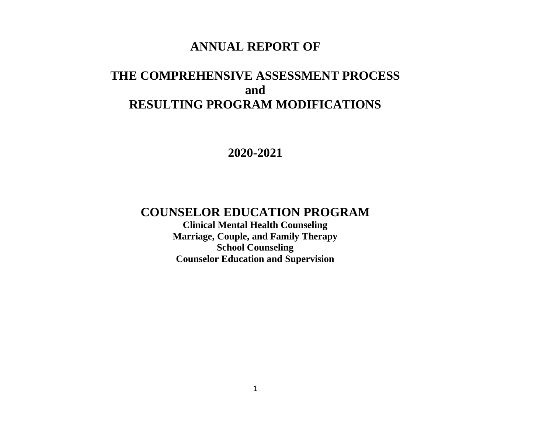# **ANNUAL REPORT OF**

# **THE COMPREHENSIVE ASSESSMENT PROCESS and RESULTING PROGRAM MODIFICATIONS**

**2020-2021**

# **COUNSELOR EDUCATION PROGRAM**

**Clinical Mental Health Counseling Marriage, Couple, and Family Therapy School Counseling Counselor Education and Supervision**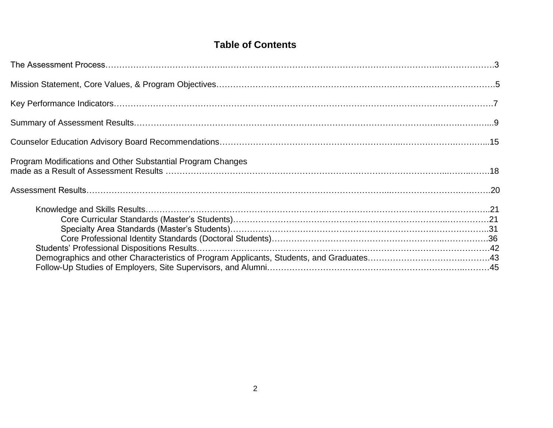# **Table of Contents**

| Program Modifications and Other Substantial Program Changes |  |
|-------------------------------------------------------------|--|
|                                                             |  |
|                                                             |  |
|                                                             |  |
|                                                             |  |
|                                                             |  |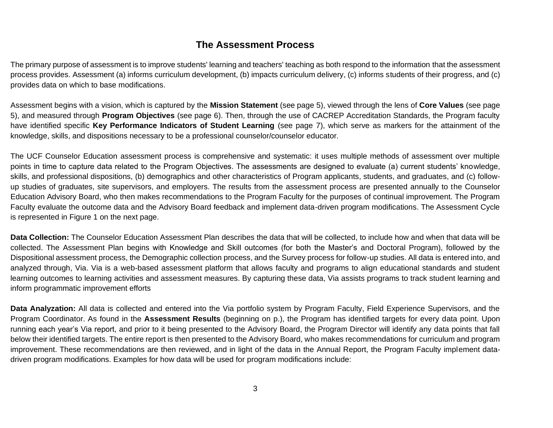# **The Assessment Process**

The primary purpose of assessment is to improve students' learning and teachers' teaching as both respond to the information that the assessment process provides. Assessment (a) informs curriculum development, (b) impacts curriculum delivery, (c) informs students of their progress, and (c) provides data on which to base modifications.

Assessment begins with a vision, which is captured by the **Mission Statement** (see page 5), viewed through the lens of **Core Values** (see page 5), and measured through **Program Objectives** (see page 6). Then, through the use of CACREP Accreditation Standards, the Program faculty have identified specific **Key Performance Indicators of Student Learning** (see page 7), which serve as markers for the attainment of the knowledge, skills, and dispositions necessary to be a professional counselor/counselor educator.

The UCF Counselor Education assessment process is comprehensive and systematic: it uses multiple methods of assessment over multiple points in time to capture data related to the Program Objectives. The assessments are designed to evaluate (a) current students' knowledge, skills, and professional dispositions, (b) demographics and other characteristics of Program applicants, students, and graduates, and (c) followup studies of graduates, site supervisors, and employers. The results from the assessment process are presented annually to the Counselor Education Advisory Board, who then makes recommendations to the Program Faculty for the purposes of continual improvement. The Program Faculty evaluate the outcome data and the Advisory Board feedback and implement data-driven program modifications. The Assessment Cycle is represented in Figure 1 on the next page.

**Data Collection:** The Counselor Education Assessment Plan describes the data that will be collected, to include how and when that data will be collected. The Assessment Plan begins with Knowledge and Skill outcomes (for both the Master's and Doctoral Program), followed by the Dispositional assessment process, the Demographic collection process, and the Survey process for follow-up studies. All data is entered into, and analyzed through, Via. Via is a web-based assessment platform that allows faculty and programs to align educational standards and student learning outcomes to learning activities and assessment measures. By capturing these data, Via assists programs to track student learning and inform programmatic improvement efforts

**Data Analyzation:** All data is collected and entered into the Via portfolio system by Program Faculty, Field Experience Supervisors, and the Program Coordinator. As found in the **Assessment Results** (beginning on p.), the Program has identified targets for every data point. Upon running each year's Via report, and prior to it being presented to the Advisory Board, the Program Director will identify any data points that fall below their identified targets. The entire report is then presented to the Advisory Board, who makes recommendations for curriculum and program improvement. These recommendations are then reviewed, and in light of the data in the Annual Report, the Program Faculty implement datadriven program modifications. Examples for how data will be used for program modifications include: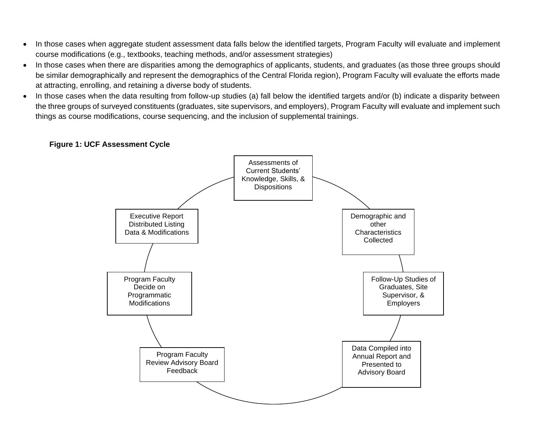- In those cases when aggregate student assessment data falls below the identified targets, Program Faculty will evaluate and implement course modifications (e.g., textbooks, teaching methods, and/or assessment strategies)
- In those cases when there are disparities among the demographics of applicants, students, and graduates (as those three groups should be similar demographically and represent the demographics of the Central Florida region), Program Faculty will evaluate the efforts made at attracting, enrolling, and retaining a diverse body of students.
- In those cases when the data resulting from follow-up studies (a) fall below the identified targets and/or (b) indicate a disparity between the three groups of surveyed constituents (graduates, site supervisors, and employers), Program Faculty will evaluate and implement such things as course modifications, course sequencing, and the inclusion of supplemental trainings.



# **Figure 1: UCF Assessment Cycle**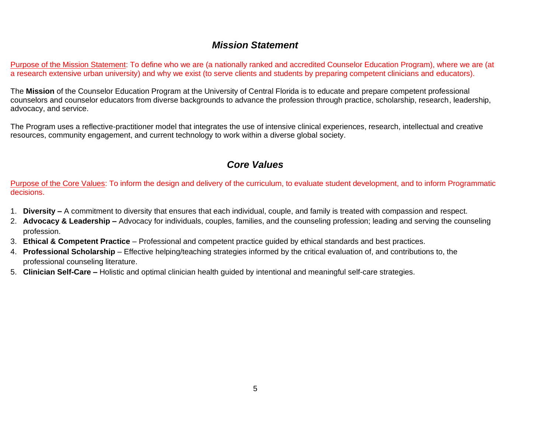# *Mission Statement*

Purpose of the Mission Statement: To define who we are (a nationally ranked and accredited Counselor Education Program), where we are (at a research extensive urban university) and why we exist (to serve clients and students by preparing competent clinicians and educators).

The **Mission** of the Counselor Education Program at the University of Central Florida is to educate and prepare competent professional counselors and counselor educators from diverse backgrounds to advance the profession through practice, scholarship, research, leadership, advocacy, and service.

The Program uses a reflective-practitioner model that integrates the use of intensive clinical experiences, research, intellectual and creative resources, community engagement, and current technology to work within a diverse global society.

# *Core Values*

Purpose of the Core Values: To inform the design and delivery of the curriculum, to evaluate student development, and to inform Programmatic decisions.

- 1. **Diversity –** A commitment to diversity that ensures that each individual, couple, and family is treated with compassion and respect.
- 2. **Advocacy & Leadership –** Advocacy for individuals, couples, families, and the counseling profession; leading and serving the counseling profession.
- 3. **Ethical & Competent Practice** Professional and competent practice guided by ethical standards and best practices.
- 4. **Professional Scholarship** Effective helping/teaching strategies informed by the critical evaluation of, and contributions to, the professional counseling literature.
- 5. **Clinician Self-Care –** Holistic and optimal clinician health guided by intentional and meaningful self-care strategies.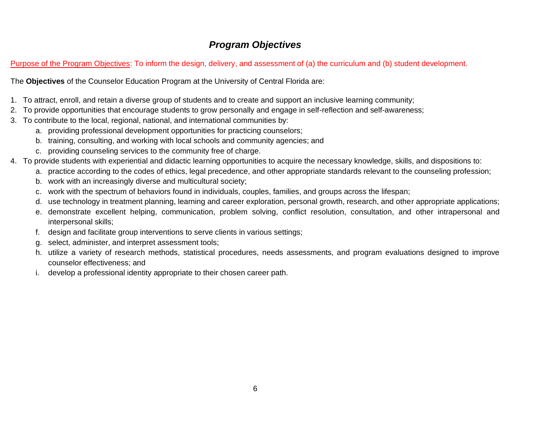# *Program Objectives*

Purpose of the Program Objectives: To inform the design, delivery, and assessment of (a) the curriculum and (b) student development.

The **Objectives** of the Counselor Education Program at the University of Central Florida are:

- 1. To attract, enroll, and retain a diverse group of students and to create and support an inclusive learning community;
- 2. To provide opportunities that encourage students to grow personally and engage in self-reflection and self-awareness;
- 3. To contribute to the local, regional, national, and international communities by:
	- a. providing professional development opportunities for practicing counselors;
	- b. training, consulting, and working with local schools and community agencies; and
	- c. providing counseling services to the community free of charge.
- 4. To provide students with experiential and didactic learning opportunities to acquire the necessary knowledge, skills, and dispositions to:
	- a. practice according to the codes of ethics, legal precedence, and other appropriate standards relevant to the counseling profession;
	- b. work with an increasingly diverse and multicultural society;
	- c. work with the spectrum of behaviors found in individuals, couples, families, and groups across the lifespan;
	- d. use technology in treatment planning, learning and career exploration, personal growth, research, and other appropriate applications;
	- e. demonstrate excellent helping, communication, problem solving, conflict resolution, consultation, and other intrapersonal and interpersonal skills;
	- f. design and facilitate group interventions to serve clients in various settings;
	- g. select, administer, and interpret assessment tools;
	- h. utilize a variety of research methods, statistical procedures, needs assessments, and program evaluations designed to improve counselor effectiveness; and
	- i. develop a professional identity appropriate to their chosen career path.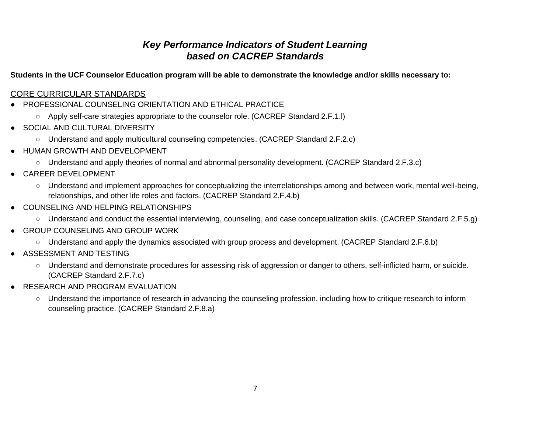# *Key Performance Indicators of Student Learning based on CACREP Standards*

**Students in the UCF Counselor Education program will be able to demonstrate the knowledge and/or skills necessary to:**

# CORE CURRICULAR STANDARDS

- PROFESSIONAL COUNSELING ORIENTATION AND ETHICAL PRACTICE
	- Apply self-care strategies appropriate to the counselor role. (CACREP Standard 2.F.1.l)
- SOCIAL AND CULTURAL DIVERSITY
	- Understand and apply multicultural counseling competencies. (CACREP Standard 2.F.2.c)
- HUMAN GROWTH AND DEVELOPMENT
	- Understand and apply theories of normal and abnormal personality development. (CACREP Standard 2.F.3.c)
- CAREER DEVELOPMENT
	- Understand and implement approaches for conceptualizing the interrelationships among and between work, mental well-being, relationships, and other life roles and factors. (CACREP Standard 2.F.4.b)
- COUNSELING AND HELPING RELATIONSHIPS
	- Understand and conduct the essential interviewing, counseling, and case conceptualization skills. (CACREP Standard 2.F.5.g)
- GROUP COUNSELING AND GROUP WORK
	- Understand and apply the dynamics associated with group process and development. (CACREP Standard 2.F.6.b)
- ASSESSMENT AND TESTING
	- Understand and demonstrate procedures for assessing risk of aggression or danger to others, self-inflicted harm, or suicide. (CACREP Standard 2.F.7.c)
- RESEARCH AND PROGRAM EVALUATION
	- Understand the importance of research in advancing the counseling profession, including how to critique research to inform counseling practice. (CACREP Standard 2.F.8.a)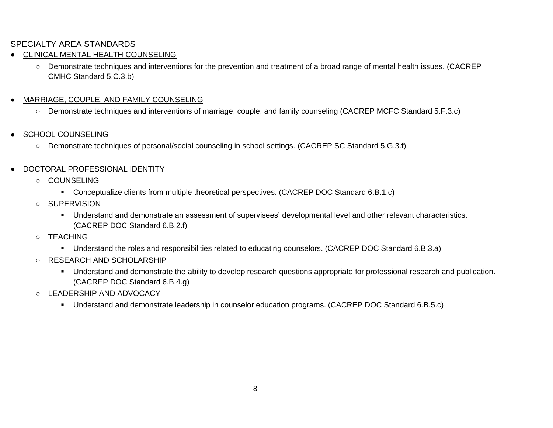# SPECIALTY AREA STANDARDS

- **CLINICAL MENTAL HEALTH COUNSELING** 
	- Demonstrate techniques and interventions for the prevention and treatment of a broad range of mental health issues. (CACREP CMHC Standard 5.C.3.b)
- MARRIAGE, COUPLE, AND FAMILY COUNSELING
	- Demonstrate techniques and interventions of marriage, couple, and family counseling (CACREP MCFC Standard 5.F.3.c)
- SCHOOL COUNSELING
	- Demonstrate techniques of personal/social counseling in school settings. (CACREP SC Standard 5.G.3.f)
- DOCTORAL PROFESSIONAL IDENTITY
	- COUNSELING
		- Conceptualize clients from multiple theoretical perspectives. (CACREP DOC Standard 6.B.1.c)
	- SUPERVISION
		- Understand and demonstrate an assessment of supervisees' developmental level and other relevant characteristics. (CACREP DOC Standard 6.B.2.f)
	- TEACHING
		- Understand the roles and responsibilities related to educating counselors. (CACREP DOC Standard 6.B.3.a)
	- RESEARCH AND SCHOLARSHIP
		- Understand and demonstrate the ability to develop research questions appropriate for professional research and publication. (CACREP DOC Standard 6.B.4.g)
	- LEADERSHIP AND ADVOCACY
		- Understand and demonstrate leadership in counselor education programs. (CACREP DOC Standard 6.B.5.c)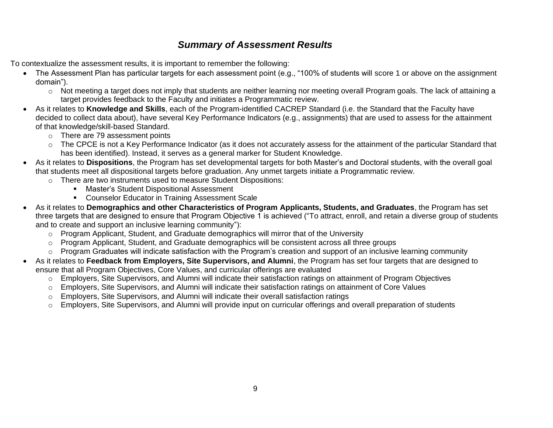# *Summary of Assessment Results*

To contextualize the assessment results, it is important to remember the following:

- The Assessment Plan has particular targets for each assessment point (e.g., "100% of students will score 1 or above on the assignment domain").
	- $\circ$  Not meeting a target does not imply that students are neither learning nor meeting overall Program goals. The lack of attaining a target provides feedback to the Faculty and initiates a Programmatic review.
- As it relates to **Knowledge and Skills**, each of the Program-identified CACREP Standard (i.e. the Standard that the Faculty have decided to collect data about), have several Key Performance Indicators (e.g., assignments) that are used to assess for the attainment of that knowledge/skill-based Standard.
	- o There are 79 assessment points
	- o The CPCE is not a Key Performance Indicator (as it does not accurately assess for the attainment of the particular Standard that has been identified). Instead, it serves as a general marker for Student Knowledge.
- As it relates to **Dispositions**, the Program has set developmental targets for both Master's and Doctoral students, with the overall goal that students meet all dispositional targets before graduation. Any unmet targets initiate a Programmatic review.
	- o There are two instruments used to measure Student Dispositions:
		- Master's Student Dispositional Assessment
		- Counselor Educator in Training Assessment Scale
- As it relates to **Demographics and other Characteristics of Program Applicants, Students, and Graduates**, the Program has set three targets that are designed to ensure that Program Objective 1 is achieved ("To attract, enroll, and retain a diverse group of students and to create and support an inclusive learning community"):
	- o Program Applicant, Student, and Graduate demographics will mirror that of the University
	- o Program Applicant, Student, and Graduate demographics will be consistent across all three groups
	- o Program Graduates will indicate satisfaction with the Program's creation and support of an inclusive learning community
- As it relates to **Feedback from Employers, Site Supervisors, and Alumni**, the Program has set four targets that are designed to ensure that all Program Objectives, Core Values, and curricular offerings are evaluated
	- o Employers, Site Supervisors, and Alumni will indicate their satisfaction ratings on attainment of Program Objectives
	- o Employers, Site Supervisors, and Alumni will indicate their satisfaction ratings on attainment of Core Values
	- $\circ$  Employers, Site Supervisors, and Alumni will indicate their overall satisfaction ratings
	- $\circ$  Employers, Site Supervisors, and Alumni will provide input on curricular offerings and overall preparation of students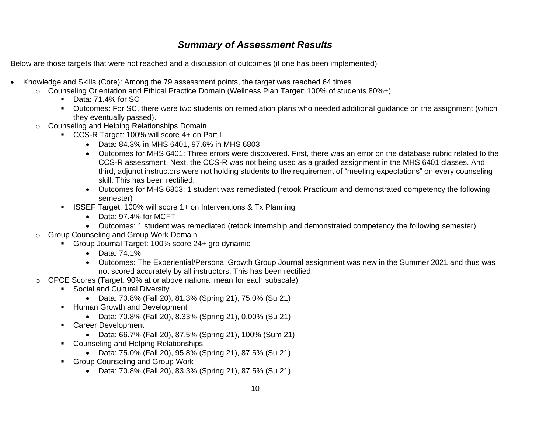# *Summary of Assessment Results*

Below are those targets that were not reached and a discussion of outcomes (if one has been implemented)

- Knowledge and Skills (Core): Among the 79 assessment points, the target was reached 64 times
	- o Counseling Orientation and Ethical Practice Domain (Wellness Plan Target: 100% of students 80%+)
		- Data: 71.4% for SC
		- Outcomes: For SC, there were two students on remediation plans who needed additional guidance on the assignment (which they eventually passed).
	- o Counseling and Helping Relationships Domain
		- CCS-R Target: 100% will score 4+ on Part I
			- Data: 84.3% in MHS 6401, 97.6% in MHS 6803
			- Outcomes for MHS 6401: Three errors were discovered. First, there was an error on the database rubric related to the CCS-R assessment. Next, the CCS-R was not being used as a graded assignment in the MHS 6401 classes. And third, adjunct instructors were not holding students to the requirement of "meeting expectations" on every counseling skill. This has been rectified.
			- Outcomes for MHS 6803: 1 student was remediated (retook Practicum and demonstrated competency the following semester)
		- **EXECTE Target: 100% will score 1+ on Interventions & Tx Planning** 
			- Data: 97.4% for MCFT
			- Outcomes: 1 student was remediated (retook internship and demonstrated competency the following semester)
	- o Group Counseling and Group Work Domain
		- Group Journal Target: 100% score 24+ grp dynamic
			- Data: 74.1%
			- Outcomes: The Experiential/Personal Growth Group Journal assignment was new in the Summer 2021 and thus was not scored accurately by all instructors. This has been rectified.
	- $\circ$  CPCE Scores (Target: 90% at or above national mean for each subscale)
		- Social and Cultural Diversity
			- Data: 70.8% (Fall 20), 81.3% (Spring 21), 75.0% (Su 21)
		- Human Growth and Development
			- Data: 70.8% (Fall 20), 8.33% (Spring 21), 0.00% (Su 21)
		- Career Development
			- Data: 66.7% (Fall 20), 87.5% (Spring 21), 100% (Sum 21)
		- Counseling and Helping Relationships
			- Data: 75.0% (Fall 20), 95.8% (Spring 21), 87.5% (Su 21)
		- Group Counseling and Group Work
			- Data: 70.8% (Fall 20), 83.3% (Spring 21), 87.5% (Su 21)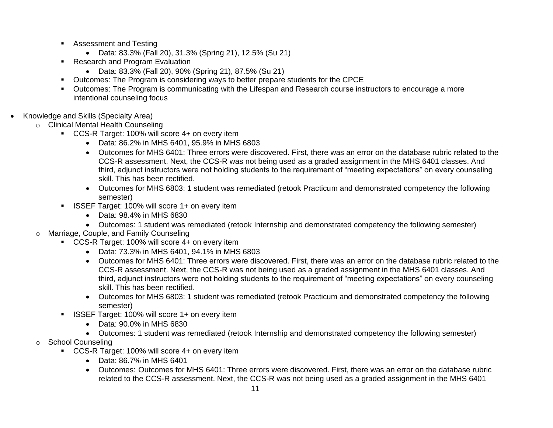- Assessment and Testing
	- Data: 83.3% (Fall 20), 31.3% (Spring 21), 12.5% (Su 21)
- Research and Program Evaluation
	- Data: 83.3% (Fall 20), 90% (Spring 21), 87.5% (Su 21)
- Outcomes: The Program is considering ways to better prepare students for the CPCE
- Outcomes: The Program is communicating with the Lifespan and Research course instructors to encourage a more intentional counseling focus
- Knowledge and Skills (Specialty Area)
	- o Clinical Mental Health Counseling
		- CCS-R Target: 100% will score 4+ on every item
			- Data: 86.2% in MHS 6401, 95.9% in MHS 6803
			- Outcomes for MHS 6401: Three errors were discovered. First, there was an error on the database rubric related to the CCS-R assessment. Next, the CCS-R was not being used as a graded assignment in the MHS 6401 classes. And third, adjunct instructors were not holding students to the requirement of "meeting expectations" on every counseling skill. This has been rectified.
			- Outcomes for MHS 6803: 1 student was remediated (retook Practicum and demonstrated competency the following semester)
		- **EXECTE Target: 100% will score 1+ on every item** 
			- Data: 98.4% in MHS 6830
			- Outcomes: 1 student was remediated (retook Internship and demonstrated competency the following semester)
	- o Marriage, Couple, and Family Counseling
		- CCS-R Target: 100% will score 4+ on every item
			- Data: 73.3% in MHS 6401, 94.1% in MHS 6803
			- Outcomes for MHS 6401: Three errors were discovered. First, there was an error on the database rubric related to the CCS-R assessment. Next, the CCS-R was not being used as a graded assignment in the MHS 6401 classes. And third, adjunct instructors were not holding students to the requirement of "meeting expectations" on every counseling skill. This has been rectified.
			- Outcomes for MHS 6803: 1 student was remediated (retook Practicum and demonstrated competency the following semester)
		- **EXECTE Target: 100% will score 1+ on every item** 
			- Data: 90.0% in MHS 6830
			- Outcomes: 1 student was remediated (retook Internship and demonstrated competency the following semester)
	- o School Counseling
		- CCS-R Target: 100% will score 4+ on every item
			- Data: 86.7% in MHS 6401
			- Outcomes: Outcomes for MHS 6401: Three errors were discovered. First, there was an error on the database rubric related to the CCS-R assessment. Next, the CCS-R was not being used as a graded assignment in the MHS 6401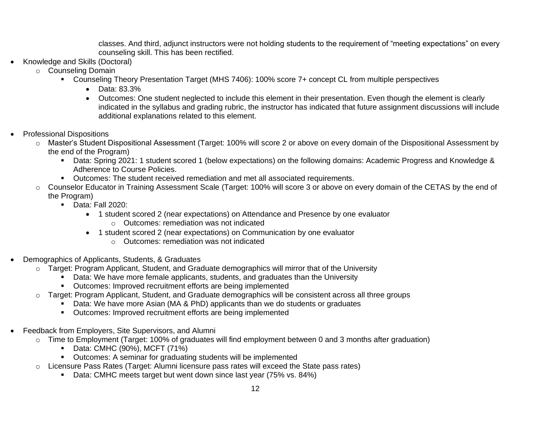classes. And third, adjunct instructors were not holding students to the requirement of "meeting expectations" on every counseling skill. This has been rectified.

- Knowledge and Skills (Doctoral)
	- o Counseling Domain
		- Counseling Theory Presentation Target (MHS 7406): 100% score 7+ concept CL from multiple perspectives
			- Data: 83.3%
			- Outcomes: One student neglected to include this element in their presentation. Even though the element is clearly indicated in the syllabus and grading rubric, the instructor has indicated that future assignment discussions will include additional explanations related to this element.
- Professional Dispositions
	- o Master's Student Dispositional Assessment (Target: 100% will score 2 or above on every domain of the Dispositional Assessment by the end of the Program)
		- Data: Spring 2021: 1 student scored 1 (below expectations) on the following domains: Academic Progress and Knowledge & Adherence to Course Policies.
		- Outcomes: The student received remediation and met all associated requirements.
	- o Counselor Educator in Training Assessment Scale (Target: 100% will score 3 or above on every domain of the CETAS by the end of the Program)
		- Data: Fall 2020:
			- 1 student scored 2 (near expectations) on Attendance and Presence by one evaluator
				- o Outcomes: remediation was not indicated
			- 1 student scored 2 (near expectations) on Communication by one evaluator
				- o Outcomes: remediation was not indicated
- Demographics of Applicants, Students, & Graduates
	- $\circ$  Target: Program Applicant, Student, and Graduate demographics will mirror that of the University
		- **•** Data: We have more female applicants, students, and graduates than the University
		- Outcomes: Improved recruitment efforts are being implemented
	- o Target: Program Applicant, Student, and Graduate demographics will be consistent across all three groups
		- Data: We have more Asian (MA & PhD) applicants than we do students or graduates
		- Outcomes: Improved recruitment efforts are being implemented
- Feedback from Employers, Site Supervisors, and Alumni
	- o Time to Employment (Target: 100% of graduates will find employment between 0 and 3 months after graduation)
		- Data: CMHC (90%), MCFT (71%)
		- Outcomes: A seminar for graduating students will be implemented
	- $\circ$  Licensure Pass Rates (Target: Alumni licensure pass rates will exceed the State pass rates)
		- Data: CMHC meets target but went down since last year (75% vs. 84%)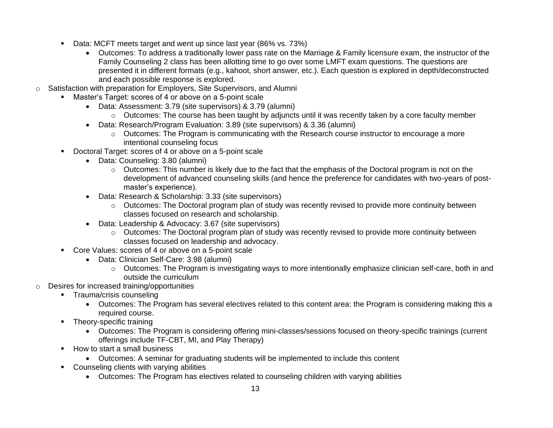- Data: MCFT meets target and went up since last year (86% vs. 73%)
	- Outcomes: To address a traditionally lower pass rate on the Marriage & Family licensure exam, the instructor of the Family Counseling 2 class has been allotting time to go over some LMFT exam questions. The questions are presented it in different formats (e.g., kahoot, short answer, etc.). Each question is explored in depth/deconstructed and each possible response is explored.
- o Satisfaction with preparation for Employers, Site Supervisors, and Alumni
	- Master's Target: scores of 4 or above on a 5-point scale
		- Data: Assessment: 3.79 (site supervisors) & 3.79 (alumni)
			- o Outcomes: The course has been taught by adjuncts until it was recently taken by a core faculty member
		- Data: Research/Program Evaluation: 3.89 (site supervisors) & 3.36 (alumni)
			- $\circ$  Outcomes: The Program is communicating with the Research course instructor to encourage a more intentional counseling focus
	- Doctoral Target: scores of 4 or above on a 5-point scale
		- Data: Counseling: 3.80 (alumni)
			- $\circ$  Outcomes: This number is likely due to the fact that the emphasis of the Doctoral program is not on the development of advanced counseling skills (and hence the preference for candidates with two-years of postmaster's experience).
		- Data: Research & Scholarship: 3.33 (site supervisors)
			- o Outcomes: The Doctoral program plan of study was recently revised to provide more continuity between classes focused on research and scholarship.
		- Data: Leadership & Advocacy: 3.67 (site supervisors)
			- o Outcomes: The Doctoral program plan of study was recently revised to provide more continuity between classes focused on leadership and advocacy.
	- Core Values: scores of 4 or above on a 5-point scale
		- Data: Clinician Self-Care: 3.98 (alumni)
			- o Outcomes: The Program is investigating ways to more intentionally emphasize clinician self-care, both in and outside the curriculum
- o Desires for increased training/opportunities
	- **•** Trauma/crisis counseling
		- Outcomes: The Program has several electives related to this content area: the Program is considering making this a required course.
	- **•** Theory-specific training
		- Outcomes: The Program is considering offering mini-classes/sessions focused on theory-specific trainings (current offerings include TF-CBT, MI, and Play Therapy)
	- How to start a small business
		- Outcomes: A seminar for graduating students will be implemented to include this content
	- Counseling clients with varying abilities
		- Outcomes: The Program has electives related to counseling children with varying abilities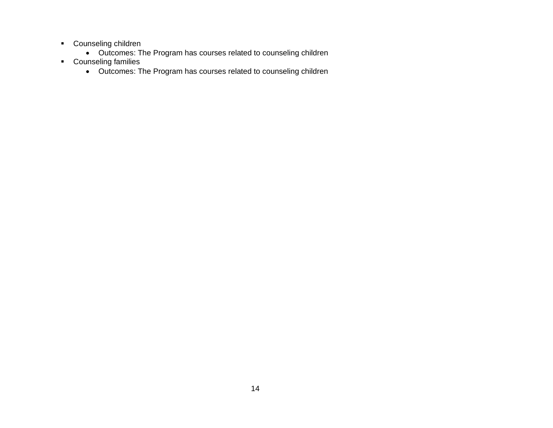- Counseling children
	- Outcomes: The Program has courses related to counseling children
- Counseling families
	- Outcomes: The Program has courses related to counseling children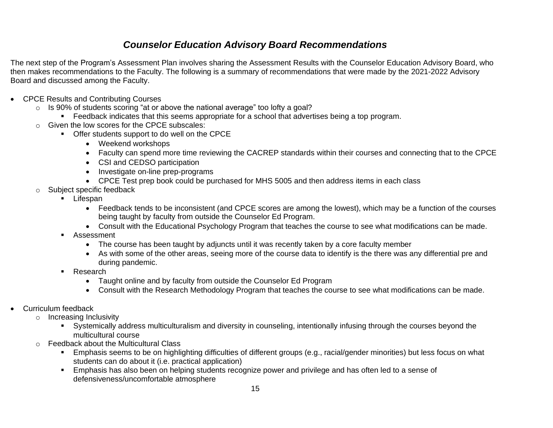# *Counselor Education Advisory Board Recommendations*

The next step of the Program's Assessment Plan involves sharing the Assessment Results with the Counselor Education Advisory Board, who then makes recommendations to the Faculty. The following is a summary of recommendations that were made by the 2021-2022 Advisory Board and discussed among the Faculty.

- CPCE Results and Contributing Courses
	- $\circ$  Is 90% of students scoring "at or above the national average" too lofty a goal?
		- Feedback indicates that this seems appropriate for a school that advertises being a top program.
	- o Given the low scores for the CPCE subscales:
		- Offer students support to do well on the CPCE
			- Weekend workshops
			- Faculty can spend more time reviewing the CACREP standards within their courses and connecting that to the CPCE
			- CSI and CEDSO participation
			- Investigate on-line prep-programs
			- CPCE Test prep book could be purchased for MHS 5005 and then address items in each class
	- o Subject specific feedback
		- **E** Lifespan
			- Feedback tends to be inconsistent (and CPCE scores are among the lowest), which may be a function of the courses being taught by faculty from outside the Counselor Ed Program.
			- Consult with the Educational Psychology Program that teaches the course to see what modifications can be made.
		- Assessment
			- The course has been taught by adjuncts until it was recently taken by a core faculty member
			- As with some of the other areas, seeing more of the course data to identify is the there was any differential pre and during pandemic.
		- Research
			- Taught online and by faculty from outside the Counselor Ed Program
			- Consult with the Research Methodology Program that teaches the course to see what modifications can be made.
- Curriculum feedback
	- o Increasing Inclusivity
		- Systemically address multiculturalism and diversity in counseling, intentionally infusing through the courses beyond the multicultural course
	- o Feedback about the Multicultural Class
		- Emphasis seems to be on highlighting difficulties of different groups (e.g., racial/gender minorities) but less focus on what students can do about it (i.e. practical application)
		- Emphasis has also been on helping students recognize power and privilege and has often led to a sense of defensiveness/uncomfortable atmosphere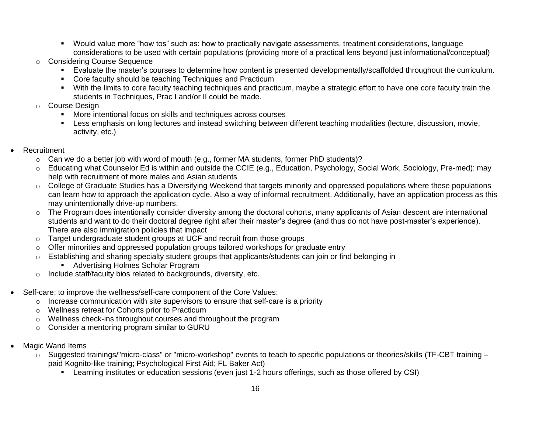- Would value more "how tos" such as: how to practically navigate assessments, treatment considerations, language considerations to be used with certain populations (providing more of a practical lens beyond just informational/conceptual)
- o Considering Course Sequence
	- Evaluate the master's courses to determine how content is presented developmentally/scaffolded throughout the curriculum.
	- Core faculty should be teaching Techniques and Practicum
	- With the limits to core faculty teaching techniques and practicum, maybe a strategic effort to have one core faculty train the students in Techniques, Prac I and/or II could be made.

# o Course Design

- More intentional focus on skills and techniques across courses
- Less emphasis on long lectures and instead switching between different teaching modalities (lecture, discussion, movie, activity, etc.)
- **Recruitment** 
	- $\circ$  Can we do a better job with word of mouth (e.g., former MA students, former PhD students)?
	- o Educating what Counselor Ed is within and outside the CCIE (e.g., Education, Psychology, Social Work, Sociology, Pre-med): may help with recruitment of more males and Asian students
	- o College of Graduate Studies has a Diversifying Weekend that targets minority and oppressed populations where these populations can learn how to approach the application cycle. Also a way of informal recruitment. Additionally, have an application process as this may unintentionally drive-up numbers.
	- $\circ$  The Program does intentionally consider diversity among the doctoral cohorts, many applicants of Asian descent are international students and want to do their doctoral degree right after their master's degree (and thus do not have post-master's experience). There are also immigration policies that impact
	- $\circ$  Target undergraduate student groups at UCF and recruit from those groups
	- Offer minorities and oppressed population groups tailored workshops for graduate entry
	- $\circ$  Establishing and sharing specialty student groups that applicants/students can join or find belonging in
		- Advertising Holmes Scholar Program
	- o Include staff/faculty bios related to backgrounds, diversity, etc.
- Self-care: to improve the wellness/self-care component of the Core Values:
	- $\circ$  Increase communication with site supervisors to ensure that self-care is a priority
	- o Wellness retreat for Cohorts prior to Practicum
	- o Wellness check-ins throughout courses and throughout the program
	- o Consider a mentoring program similar to GURU
- Magic Wand Items
	- o Suggested trainings/"micro-class" or "micro-workshop" events to teach to specific populations or theories/skills (TF-CBT training paid Kognito-like training; Psychological First Aid; FL Baker Act)
		- Learning institutes or education sessions (even just 1-2 hours offerings, such as those offered by CSI)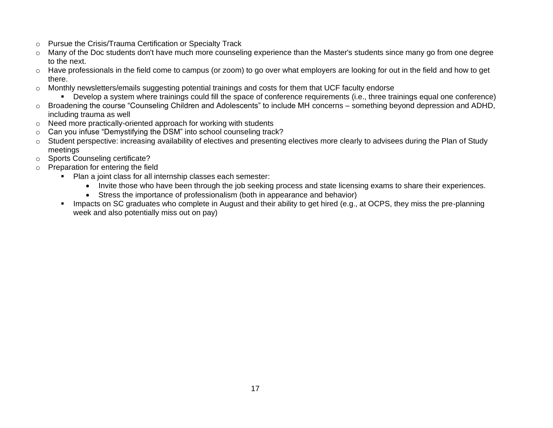- o Pursue the Crisis/Trauma Certification or Specialty Track
- $\circ$  Many of the Doc students don't have much more counseling experience than the Master's students since many go from one degree to the next.
- $\circ$  Have professionals in the field come to campus (or zoom) to go over what employers are looking for out in the field and how to get there.
- o Monthly newsletters/emails suggesting potential trainings and costs for them that UCF faculty endorse
	- Bevelop a system where trainings could fill the space of conference requirements (i.e., three trainings equal one conference)
- o Broadening the course "Counseling Children and Adolescents" to include MH concerns something beyond depression and ADHD, including trauma as well
- o Need more practically-oriented approach for working with students
- o Can you infuse "Demystifying the DSM" into school counseling track?
- o Student perspective: increasing availability of electives and presenting electives more clearly to advisees during the Plan of Study meetings
- o Sports Counseling certificate?
- o Preparation for entering the field
	- Plan a joint class for all internship classes each semester:
		- Invite those who have been through the job seeking process and state licensing exams to share their experiences.
		- Stress the importance of professionalism (both in appearance and behavior)
	- **EXED FEE IMPACTS ON SC Graduates who complete in August and their ability to get hired (e.g., at OCPS, they miss the pre-planning** week and also potentially miss out on pay)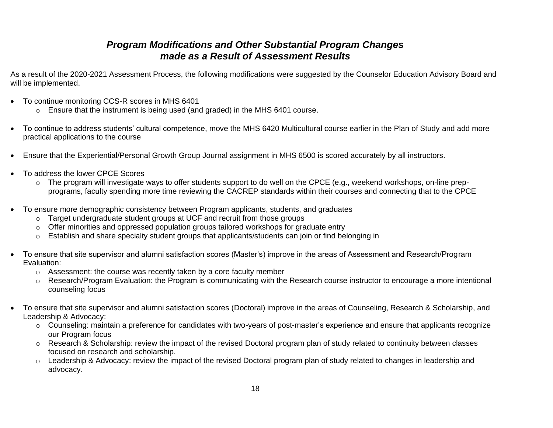# *Program Modifications and Other Substantial Program Changes made as a Result of Assessment Results*

As a result of the 2020-2021 Assessment Process, the following modifications were suggested by the Counselor Education Advisory Board and will be implemented.

- To continue monitoring CCS-R scores in MHS 6401
	- o Ensure that the instrument is being used (and graded) in the MHS 6401 course.
- To continue to address students' cultural competence, move the MHS 6420 Multicultural course earlier in the Plan of Study and add more practical applications to the course
- Ensure that the Experiential/Personal Growth Group Journal assignment in MHS 6500 is scored accurately by all instructors.
- To address the lower CPCE Scores
	- $\circ$  The program will investigate ways to offer students support to do well on the CPCE (e.g., weekend workshops, on-line prepprograms, faculty spending more time reviewing the CACREP standards within their courses and connecting that to the CPCE
- To ensure more demographic consistency between Program applicants, students, and graduates
	- $\circ$  Target undergraduate student groups at UCF and recruit from those groups
	- o Offer minorities and oppressed population groups tailored workshops for graduate entry
	- o Establish and share specialty student groups that applicants/students can join or find belonging in
- To ensure that site supervisor and alumni satisfaction scores (Master's) improve in the areas of Assessment and Research/Program Evaluation:
	- o Assessment: the course was recently taken by a core faculty member
	- $\circ$  Research/Program Evaluation: the Program is communicating with the Research course instructor to encourage a more intentional counseling focus
- To ensure that site supervisor and alumni satisfaction scores (Doctoral) improve in the areas of Counseling, Research & Scholarship, and Leadership & Advocacy:
	- o Counseling: maintain a preference for candidates with two-years of post-master's experience and ensure that applicants recognize our Program focus
	- o Research & Scholarship: review the impact of the revised Doctoral program plan of study related to continuity between classes focused on research and scholarship.
	- o Leadership & Advocacy: review the impact of the revised Doctoral program plan of study related to changes in leadership and advocacy.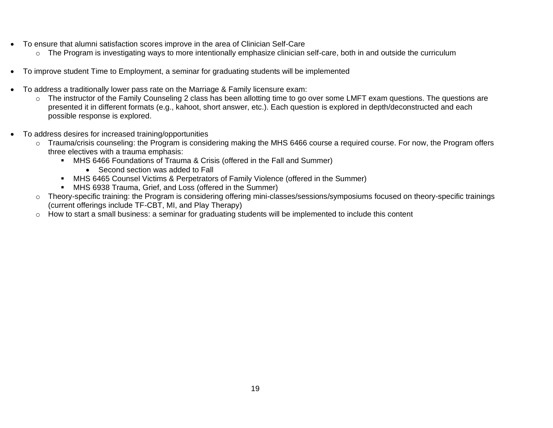- To ensure that alumni satisfaction scores improve in the area of Clinician Self-Care
	- o The Program is investigating ways to more intentionally emphasize clinician self-care, both in and outside the curriculum
- To improve student Time to Employment, a seminar for graduating students will be implemented
- To address a traditionally lower pass rate on the Marriage & Family licensure exam:
	- o The instructor of the Family Counseling 2 class has been allotting time to go over some LMFT exam questions. The questions are presented it in different formats (e.g., kahoot, short answer, etc.). Each question is explored in depth/deconstructed and each possible response is explored.
- To address desires for increased training/opportunities
	- o Trauma/crisis counseling: the Program is considering making the MHS 6466 course a required course. For now, the Program offers three electives with a trauma emphasis:
		- **MHS 6466 Foundations of Trauma & Crisis (offered in the Fall and Summer)** 
			- Second section was added to Fall
		- MHS 6465 Counsel Victims & Perpetrators of Family Violence (offered in the Summer)
		- MHS 6938 Trauma, Grief, and Loss (offered in the Summer)
	- o Theory-specific training: the Program is considering offering mini-classes/sessions/symposiums focused on theory-specific trainings (current offerings include TF-CBT, MI, and Play Therapy)
	- o How to start a small business: a seminar for graduating students will be implemented to include this content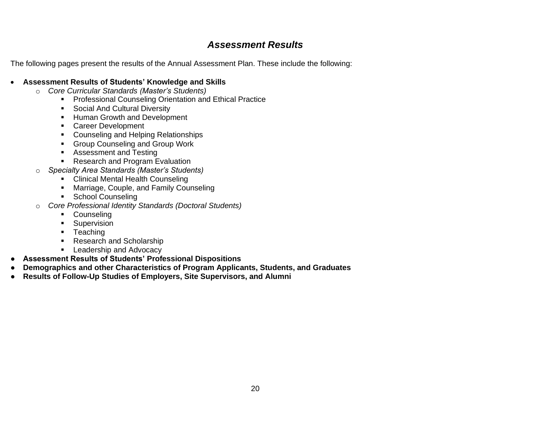# *Assessment Results*

The following pages present the results of the Annual Assessment Plan. These include the following:

# • **Assessment Results of Students' Knowledge and Skills**

- o *Core Curricular Standards (Master's Students)*
	- **Professional Counseling Orientation and Ethical Practice**
	- Social And Cultural Diversity
	- **■** Human Growth and Development
	- Career Development
	- Counseling and Helping Relationships
	- Group Counseling and Group Work
	- Assessment and Testing
	- Research and Program Evaluation
- o *Specialty Area Standards (Master's Students)*
	- Clinical Mental Health Counseling
	- **■** Marriage, Couple, and Family Counseling
	- School Counseling
- o *Core Professional Identity Standards (Doctoral Students)*
	- Counseling
	- **■** Supervision
	- Teaching
	- **Research and Scholarship**
	- **E** Leadership and Advocacy
- **Assessment Results of Students' Professional Dispositions**
- **Demographics and other Characteristics of Program Applicants, Students, and Graduates**
- **Results of Follow-Up Studies of Employers, Site Supervisors, and Alumni**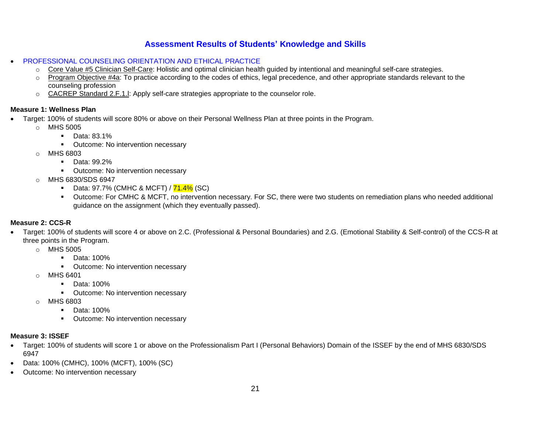- PROFESSIONAL COUNSELING ORIENTATION AND ETHICAL PRACTICE
	- o Core Value #5 Clinician Self-Care: Holistic and optimal clinician health guided by intentional and meaningful self-care strategies.
	- $\circ$  Program Objective #4a: To practice according to the codes of ethics, legal precedence, and other appropriate standards relevant to the counseling profession
	- o CACREP Standard 2.F.1.l: Apply self-care strategies appropriate to the counselor role.

### **Measure 1: Wellness Plan**

- Target: 100% of students will score 80% or above on their Personal Wellness Plan at three points in the Program.
	- o MHS 5005
		- Data: 83.1%
		- **Outcome: No intervention necessary**
	- o MHS 6803
		- Data: 99.2%
		- Outcome: No intervention necessary
	- o MHS 6830/SDS 6947
		- **•** Data: 97.7% (CMHC & MCFT) /  $\frac{71.4\%}{1.4\%}$  (SC)
		- Outcome: For CMHC & MCFT, no intervention necessary. For SC, there were two students on remediation plans who needed additional guidance on the assignment (which they eventually passed).

# **Measure 2: CCS-R**

- Target: 100% of students will score 4 or above on 2.C. (Professional & Personal Boundaries) and 2.G. (Emotional Stability & Self-control) of the CCS-R at three points in the Program.
	- o MHS 5005
		- Data: 100%
		- Outcome: No intervention necessary
	- o MHS 6401
		- Data: 100%
		- **•** Outcome: No intervention necessary
	- o MHS 6803
		- Data: 100%
		- Outcome: No intervention necessary

# **Measure 3: ISSEF**

- Target: 100% of students will score 1 or above on the Professionalism Part I (Personal Behaviors) Domain of the ISSEF by the end of MHS 6830/SDS 6947
- Data: 100% (CMHC), 100% (MCFT), 100% (SC)
- Outcome: No intervention necessary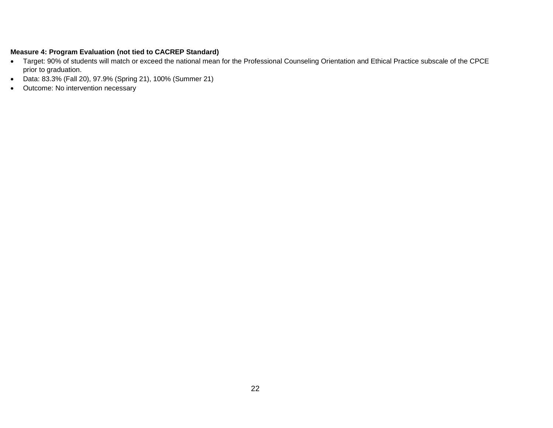- Target: 90% of students will match or exceed the national mean for the Professional Counseling Orientation and Ethical Practice subscale of the CPCE prior to graduation.
- Data: 83.3% (Fall 20), 97.9% (Spring 21), 100% (Summer 21)
- Outcome: No intervention necessary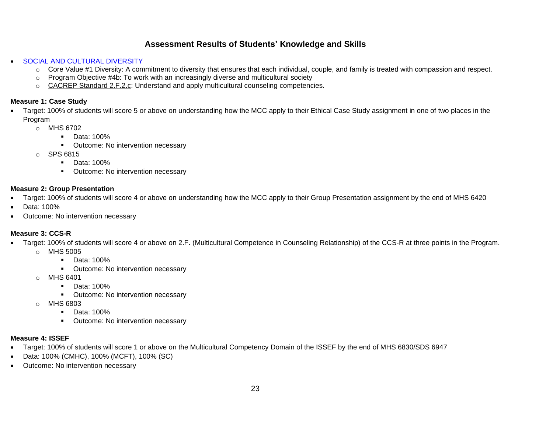- SOCIAL AND CULTURAL DIVERSITY
	- o Core Value #1 Diversity: A commitment to diversity that ensures that each individual, couple, and family is treated with compassion and respect.
	- $\circ$  Program Objective #4b: To work with an increasingly diverse and multicultural society
	- o CACREP Standard 2.F.2.c: Understand and apply multicultural counseling competencies.

### **Measure 1: Case Study**

- Target: 100% of students will score 5 or above on understanding how the MCC apply to their Ethical Case Study assignment in one of two places in the Program
	- o MHS 6702
		- Data: 100%
		- Outcome: No intervention necessary
	- o SPS 6815
		- Data: 100%
		- Outcome: No intervention necessary

# **Measure 2: Group Presentation**

- Target: 100% of students will score 4 or above on understanding how the MCC apply to their Group Presentation assignment by the end of MHS 6420
- Data: 100%
- Outcome: No intervention necessary

# **Measure 3: CCS-R**

- Target: 100% of students will score 4 or above on 2.F. (Multicultural Competence in Counseling Relationship) of the CCS-R at three points in the Program. o MHS 5005
	- Data: 100%
	- Outcome: No intervention necessary
	- o MHS 6401
		- Data: 100%
		- Outcome: No intervention necessary
	- o MHS 6803
		- **■** Data: 100%
		- Outcome: No intervention necessary

# **Measure 4: ISSEF**

- Target: 100% of students will score 1 or above on the Multicultural Competency Domain of the ISSEF by the end of MHS 6830/SDS 6947
- Data: 100% (CMHC), 100% (MCFT), 100% (SC)
- Outcome: No intervention necessary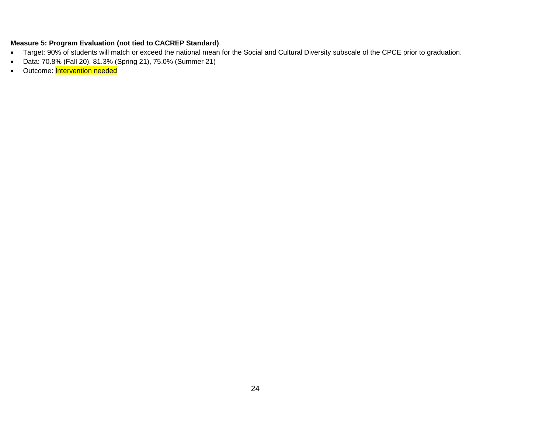- Target: 90% of students will match or exceed the national mean for the Social and Cultural Diversity subscale of the CPCE prior to graduation.
- Data: 70.8% (Fall 20), 81.3% (Spring 21), 75.0% (Summer 21)
- Outcome: Intervention needed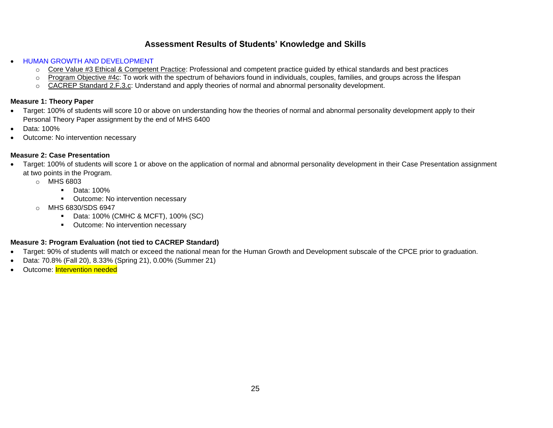- HUMAN GROWTH AND DEVELOPMENT
	- o Core Value #3 Ethical & Competent Practice: Professional and competent practice guided by ethical standards and best practices
	- o Program Objective #4c: To work with the spectrum of behaviors found in individuals, couples, families, and groups across the lifespan
	- o CACREP Standard 2.F.3.c: Understand and apply theories of normal and abnormal personality development.

# **Measure 1: Theory Paper**

- Target: 100% of students will score 10 or above on understanding how the theories of normal and abnormal personality development apply to their Personal Theory Paper assignment by the end of MHS 6400
- Data: 100%
- Outcome: No intervention necessary

# **Measure 2: Case Presentation**

- Target: 100% of students will score 1 or above on the application of normal and abnormal personality development in their Case Presentation assignment at two points in the Program.
	- o MHS 6803
		- Data: 100%
		- Outcome: No intervention necessary
	- o MHS 6830/SDS 6947
		- Data: 100% (CMHC & MCFT), 100% (SC)
		- Outcome: No intervention necessary

- Target: 90% of students will match or exceed the national mean for the Human Growth and Development subscale of the CPCE prior to graduation.
- Data: 70.8% (Fall 20), 8.33% (Spring 21), 0.00% (Summer 21)
- Outcome: Intervention needed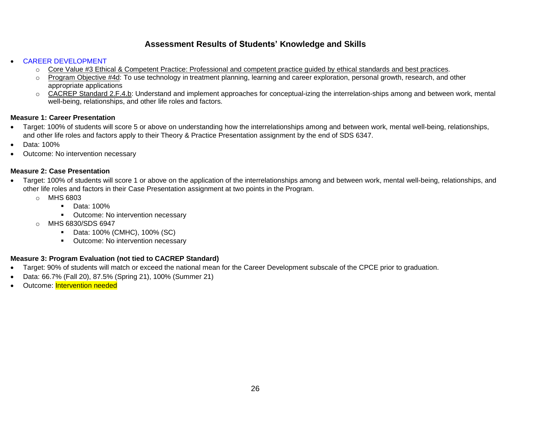### • CAREER DEVELOPMENT

- $\circ$  Core Value #3 Ethical & Competent Practice: Professional and competent practice guided by ethical standards and best practices.
- Program Objective #4d: To use technology in treatment planning, learning and career exploration, personal growth, research, and other appropriate applications
- o CACREP Standard 2.F.4.b: Understand and implement approaches for conceptual-izing the interrelation-ships among and between work, mental well-being, relationships, and other life roles and factors.

# **Measure 1: Career Presentation**

- Target: 100% of students will score 5 or above on understanding how the interrelationships among and between work, mental well-being, relationships, and other life roles and factors apply to their Theory & Practice Presentation assignment by the end of SDS 6347.
- Data: 100%
- Outcome: No intervention necessary

# **Measure 2: Case Presentation**

- Target: 100% of students will score 1 or above on the application of the interrelationships among and between work, mental well-being, relationships, and other life roles and factors in their Case Presentation assignment at two points in the Program.
	- o MHS 6803
		- Data: 100%
		- Outcome: No intervention necessary
	- o MHS 6830/SDS 6947
		- Data: 100% (CMHC), 100% (SC)
		- Outcome: No intervention necessary

- Target: 90% of students will match or exceed the national mean for the Career Development subscale of the CPCE prior to graduation.
- Data: 66.7% (Fall 20), 87.5% (Spring 21), 100% (Summer 21)
- Outcome: Intervention needed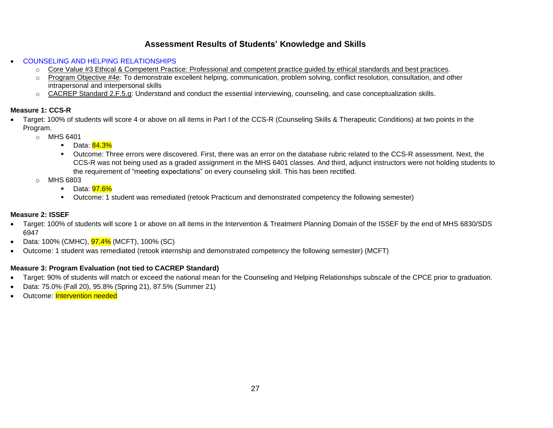- COUNSELING AND HELPING RELATIONSHIPS
	- o Core Value #3 Ethical & Competent Practice: Professional and competent practice guided by ethical standards and best practices.
	- Program Objective #4e: To demonstrate excellent helping, communication, problem solving, conflict resolution, consultation, and other intrapersonal and interpersonal skills
	- o CACREP Standard 2.F.5.g: Understand and conduct the essential interviewing, counseling, and case conceptualization skills.

# **Measure 1: CCS-R**

- Target: 100% of students will score 4 or above on all items in Part I of the CCS-R (Counseling Skills & Therapeutic Conditions) at two points in the Program.
	- o MHS 6401
		- Data: <mark>84.3%</mark>
		- Outcome: Three errors were discovered. First, there was an error on the database rubric related to the CCS-R assessment. Next, the CCS-R was not being used as a graded assignment in the MHS 6401 classes. And third, adjunct instructors were not holding students to the requirement of "meeting expectations" on every counseling skill. This has been rectified.
	- o MHS 6803
		- Data: **97.6%**
		- Outcome: 1 student was remediated (retook Practicum and demonstrated competency the following semester)

# **Measure 2: ISSEF**

- Target: 100% of students will score 1 or above on all items in the Intervention & Treatment Planning Domain of the ISSEF by the end of MHS 6830/SDS 6947
- Data: 100% (CMHC),  $97.4\%$  (MCFT), 100% (SC)
- Outcome: 1 student was remediated (retook internship and demonstrated competency the following semester) (MCFT)

- Target: 90% of students will match or exceed the national mean for the Counseling and Helping Relationships subscale of the CPCE prior to graduation.
- Data: 75.0% (Fall 20), 95.8% (Spring 21), 87.5% (Summer 21)
- Outcome: Intervention needed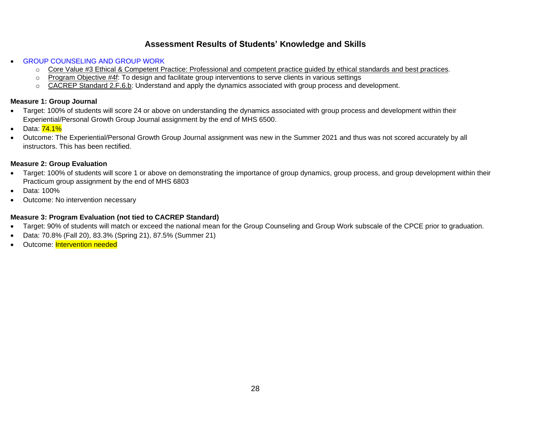**GROUP COUNSELING AND GROUP WORK** 

- o Core Value #3 Ethical & Competent Practice: Professional and competent practice guided by ethical standards and best practices.
- o Program Objective #4f: To design and facilitate group interventions to serve clients in various settings
- o CACREP Standard 2.F.6.b: Understand and apply the dynamics associated with group process and development.

# **Measure 1: Group Journal**

- Target: 100% of students will score 24 or above on understanding the dynamics associated with group process and development within their Experiential/Personal Growth Group Journal assignment by the end of MHS 6500.
- Data:  $74.1\%$
- Outcome: The Experiential/Personal Growth Group Journal assignment was new in the Summer 2021 and thus was not scored accurately by all instructors. This has been rectified.

# **Measure 2: Group Evaluation**

- Target: 100% of students will score 1 or above on demonstrating the importance of group dynamics, group process, and group development within their Practicum group assignment by the end of MHS 6803
- Data: 100%
- Outcome: No intervention necessary

- Target: 90% of students will match or exceed the national mean for the Group Counseling and Group Work subscale of the CPCE prior to graduation.
- Data: 70.8% (Fall 20), 83.3% (Spring 21), 87.5% (Summer 21)
- Outcome: Intervention needed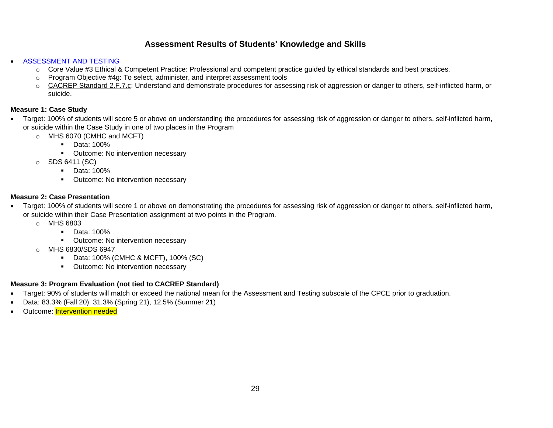### • ASSESSMENT AND TESTING

- o Core Value #3 Ethical & Competent Practice: Professional and competent practice guided by ethical standards and best practices.
- o Program Objective #4g: To select, administer, and interpret assessment tools
- o CACREP Standard 2.F.7.c: Understand and demonstrate procedures for assessing risk of aggression or danger to others, self-inflicted harm, or suicide.

# **Measure 1: Case Study**

- Target: 100% of students will score 5 or above on understanding the procedures for assessing risk of aggression or danger to others, self-inflicted harm, or suicide within the Case Study in one of two places in the Program
	- o MHS 6070 (CMHC and MCFT)
		- Data: 100%
		- Outcome: No intervention necessary
	- o SDS 6411 (SC)
		- Data: 100%
		- **•** Outcome: No intervention necessary

# **Measure 2: Case Presentation**

- Target: 100% of students will score 1 or above on demonstrating the procedures for assessing risk of aggression or danger to others, self-inflicted harm, or suicide within their Case Presentation assignment at two points in the Program.
	- o MHS 6803
		- Data: 100%
		- Outcome: No intervention necessary
	- o MHS 6830/SDS 6947
		- Data: 100% (CMHC & MCFT), 100% (SC)
		- Outcome: No intervention necessary

- Target: 90% of students will match or exceed the national mean for the Assessment and Testing subscale of the CPCE prior to graduation.
- Data: 83.3% (Fall 20), 31.3% (Spring 21), 12.5% (Summer 21)
- Outcome: Intervention needed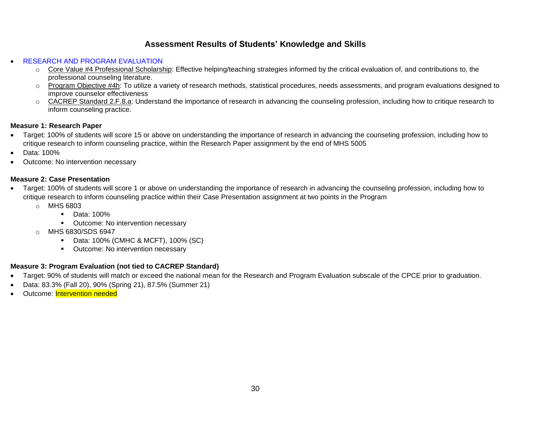# • RESEARCH AND PROGRAM EVALUATION

- $\circ$  Core Value #4 Professional Scholarship: Effective helping/teaching strategies informed by the critical evaluation of, and contributions to, the professional counseling literature.
- Program Objective #4h: To utilize a variety of research methods, statistical procedures, needs assessments, and program evaluations designed to improve counselor effectiveness
- o CACREP Standard 2.F.8.a: Understand the importance of research in advancing the counseling profession, including how to critique research to inform counseling practice.

# **Measure 1: Research Paper**

- Target: 100% of students will score 15 or above on understanding the importance of research in advancing the counseling profession, including how to critique research to inform counseling practice, within the Research Paper assignment by the end of MHS 5005
- Data: 100%
- Outcome: No intervention necessary

### **Measure 2: Case Presentation**

- Target: 100% of students will score 1 or above on understanding the importance of research in advancing the counseling profession, including how to critique research to inform counseling practice within their Case Presentation assignment at two points in the Program
	- o MHS 6803
		- Data: 100%
		- Outcome: No intervention necessary
	- o MHS 6830/SDS 6947
		- Data: 100% (CMHC & MCFT), 100% (SC)
		- Outcome: No intervention necessary

- Target: 90% of students will match or exceed the national mean for the Research and Program Evaluation subscale of the CPCE prior to graduation.
- Data: 83.3% (Fall 20), 90% (Spring 21), 87.5% (Summer 21)
- Outcome: Intervention needed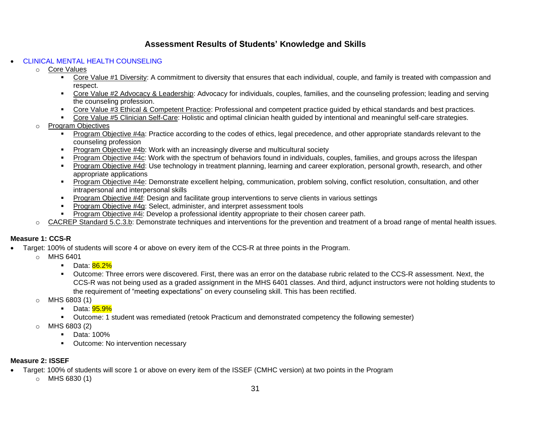# • CLINICAL MENTAL HEALTH COUNSELING

- o Core Values
	- **EXECT 2** Core Value #1 Diversity: A commitment to diversity that ensures that each individual, couple, and family is treated with compassion and respect.
	- Core Value #2 Advocacy & Leadership: Advocacy for individuals, couples, families, and the counseling profession; leading and serving the counseling profession.
	- Core Value #3 Ethical & Competent Practice: Professional and competent practice guided by ethical standards and best practices.
	- Core Value #5 Clinician Self-Care: Holistic and optimal clinician health guided by intentional and meaningful self-care strategies.
- o Program Objectives
	- **Program Objective #4a: Practice according to the codes of ethics, legal precedence, and other appropriate standards relevant to the** counseling profession
	- **Program Objective #4b: Work with an increasingly diverse and multicultural society**
	- Program Objective #4c: Work with the spectrum of behaviors found in individuals, couples, families, and groups across the lifespan
	- Program Objective #4d: Use technology in treatment planning, learning and career exploration, personal growth, research, and other appropriate applications
	- Program Objective #4e: Demonstrate excellent helping, communication, problem solving, conflict resolution, consultation, and other intrapersonal and interpersonal skills
	- **Program Objective #4f: Design and facilitate group interventions to serve clients in various settings**
	- **Program Objective #4g: Select, administer, and interpret assessment tools**
	- Program Objective #4i: Develop a professional identity appropriate to their chosen career path.
- o CACREP Standard 5.C.3.b: Demonstrate techniques and interventions for the prevention and treatment of a broad range of mental health issues.

# **Measure 1: CCS-R**

- Target: 100% of students will score 4 or above on every item of the CCS-R at three points in the Program.
	- o MHS 6401
		- Data: 86.2%
		- Outcome: Three errors were discovered. First, there was an error on the database rubric related to the CCS-R assessment. Next, the CCS-R was not being used as a graded assignment in the MHS 6401 classes. And third, adjunct instructors were not holding students to the requirement of "meeting expectations" on every counseling skill. This has been rectified.
	- MHS 6803 (1)
		- Data: 95.9%
		- Outcome: 1 student was remediated (retook Practicum and demonstrated competency the following semester)
	- $O$  MHS 6803 (2)
		- Data: 100%
		- Outcome: No intervention necessary

# **Measure 2: ISSEF**

- Target: 100% of students will score 1 or above on every item of the ISSEF (CMHC version) at two points in the Program
	- o MHS 6830 (1)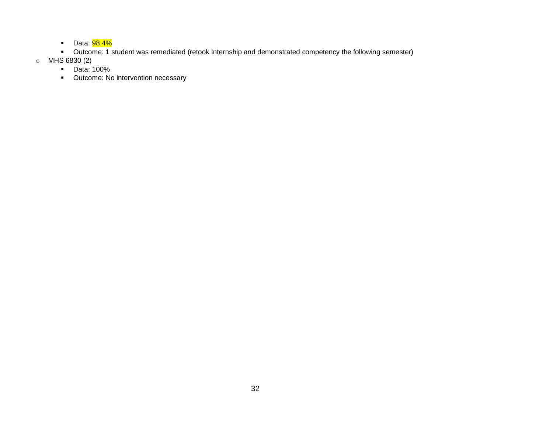- **•** Data: **98.4%**
- Outcome: 1 student was remediated (retook Internship and demonstrated competency the following semester)
- o MHS 6830 (2)
	- Data: 100%
	- Outcome: No intervention necessary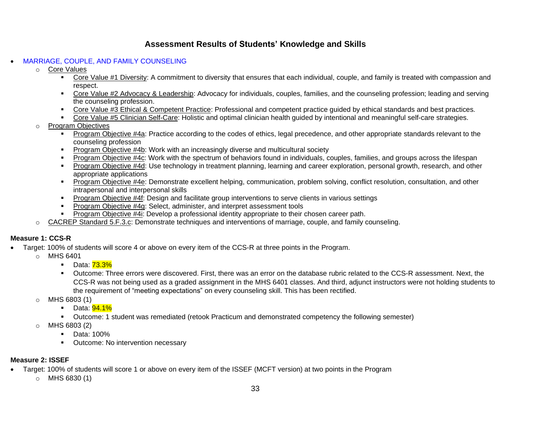# • MARRIAGE, COUPLE, AND FAMILY COUNSELING

- o Core Values
	- **EXECT 2** Core Value #1 Diversity: A commitment to diversity that ensures that each individual, couple, and family is treated with compassion and respect.
	- Core Value #2 Advocacy & Leadership: Advocacy for individuals, couples, families, and the counseling profession; leading and serving the counseling profession.
	- Core Value #3 Ethical & Competent Practice: Professional and competent practice guided by ethical standards and best practices.
	- Core Value #5 Clinician Self-Care: Holistic and optimal clinician health guided by intentional and meaningful self-care strategies.
- o Program Objectives
	- **Program Objective #4a: Practice according to the codes of ethics, legal precedence, and other appropriate standards relevant to the** counseling profession
	- **Program Objective #4b: Work with an increasingly diverse and multicultural society**
	- Program Objective #4c: Work with the spectrum of behaviors found in individuals, couples, families, and groups across the lifespan
	- Program Objective #4d: Use technology in treatment planning, learning and career exploration, personal growth, research, and other appropriate applications
	- Program Objective #4e: Demonstrate excellent helping, communication, problem solving, conflict resolution, consultation, and other intrapersonal and interpersonal skills
	- **•** Program Objective #4f: Design and facilitate group interventions to serve clients in various settings
	- **Program Objective #4g: Select, administer, and interpret assessment tools**
	- Program Objective #4i: Develop a professional identity appropriate to their chosen career path.
- o CACREP Standard 5.F.3.c: Demonstrate techniques and interventions of marriage, couple, and family counseling.

# **Measure 1: CCS-R**

- Target: 100% of students will score 4 or above on every item of the CCS-R at three points in the Program.
	- o MHS 6401
		- Data: <mark>73.3%</mark>
		- Outcome: Three errors were discovered. First, there was an error on the database rubric related to the CCS-R assessment. Next, the CCS-R was not being used as a graded assignment in the MHS 6401 classes. And third, adjunct instructors were not holding students to the requirement of "meeting expectations" on every counseling skill. This has been rectified.
	- o MHS 6803 (1)
		- Data: <mark>94.1%</mark>
		- Outcome: 1 student was remediated (retook Practicum and demonstrated competency the following semester)
	- $O$  MHS 6803 (2)
		- Data: 100%
		- Outcome: No intervention necessary

# **Measure 2: ISSEF**

- Target: 100% of students will score 1 or above on every item of the ISSEF (MCFT version) at two points in the Program
	- $\circ$  MHS 6830 (1)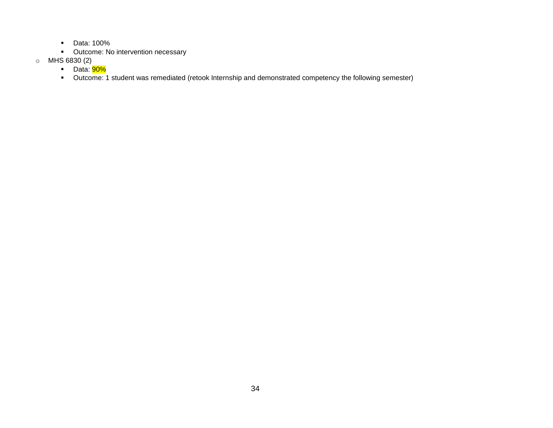- Data: 100%
- Outcome: No intervention necessary
- o MHS 6830 (2)
	- Data: 90%
	- Outcome: 1 student was remediated (retook Internship and demonstrated competency the following semester)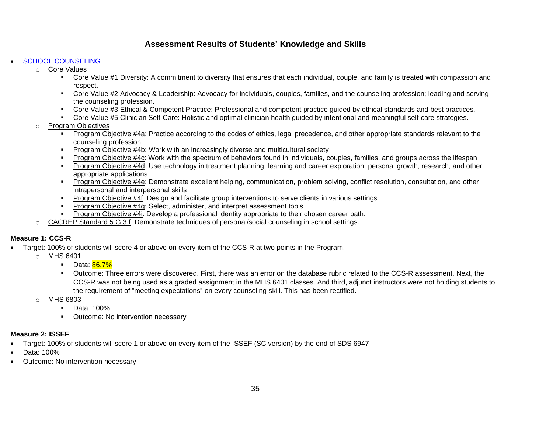### **SCHOOL COUNSELING**

o Core Values

- **EXECT 2** Core Value #1 Diversity: A commitment to diversity that ensures that each individual, couple, and family is treated with compassion and respect.
- Core Value #2 Advocacy & Leadership: Advocacy for individuals, couples, families, and the counseling profession; leading and serving the counseling profession.
- Core Value #3 Ethical & Competent Practice: Professional and competent practice guided by ethical standards and best practices.
- Core Value #5 Clinician Self-Care: Holistic and optimal clinician health guided by intentional and meaningful self-care strategies.
- o Program Objectives
	- **Program Objective #4a: Practice according to the codes of ethics, legal precedence, and other appropriate standards relevant to the** counseling profession
	- **Program Objective #4b: Work with an increasingly diverse and multicultural society**
	- Program Objective #4c: Work with the spectrum of behaviors found in individuals, couples, families, and groups across the lifespan
	- Program Objective #4d: Use technology in treatment planning, learning and career exploration, personal growth, research, and other appropriate applications
	- Program Objective #4e: Demonstrate excellent helping, communication, problem solving, conflict resolution, consultation, and other intrapersonal and interpersonal skills
	- **•** Program Objective #4f: Design and facilitate group interventions to serve clients in various settings
	- **Program Objective #4g: Select, administer, and interpret assessment tools**
	- Program Objective #4i: Develop a professional identity appropriate to their chosen career path.
- o CACREP Standard 5.G.3.f: Demonstrate techniques of personal/social counseling in school settings.

# **Measure 1: CCS-R**

- Target: 100% of students will score 4 or above on every item of the CCS-R at two points in the Program.
	- o MHS 6401
		- Data: 86.7%
		- Outcome: Three errors were discovered. First, there was an error on the database rubric related to the CCS-R assessment. Next, the CCS-R was not being used as a graded assignment in the MHS 6401 classes. And third, adjunct instructors were not holding students to the requirement of "meeting expectations" on every counseling skill. This has been rectified.
	- $O$  MHS 6803
		- Data: 100%
		- Outcome: No intervention necessary

# **Measure 2: ISSEF**

- Target: 100% of students will score 1 or above on every item of the ISSEF (SC version) by the end of SDS 6947
- Data: 100%
- Outcome: No intervention necessary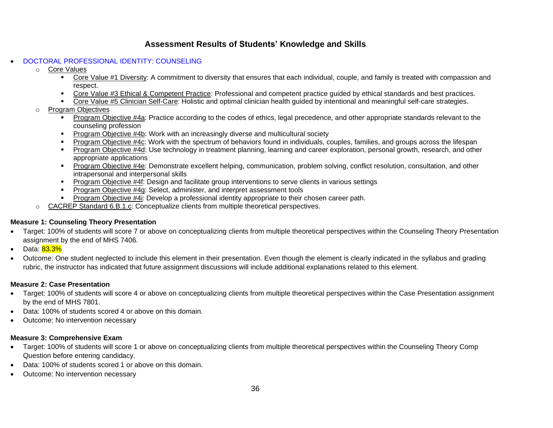### • DOCTORAL PROFESSIONAL IDENTITY: COUNSELING

- o Core Values
	- **EXECT 2** Core Value #1 Diversity: A commitment to diversity that ensures that each individual, couple, and family is treated with compassion and respect.
	- Core Value #3 Ethical & Competent Practice: Professional and competent practice guided by ethical standards and best practices.
	- Core Value #5 Clinician Self-Care: Holistic and optimal clinician health guided by intentional and meaningful self-care strategies.
- o Program Objectives
	- Program Objective #4a: Practice according to the codes of ethics, legal precedence, and other appropriate standards relevant to the counseling profession
	- Program Objective #4b: Work with an increasingly diverse and multicultural society
	- Program Objective #4c: Work with the spectrum of behaviors found in individuals, couples, families, and groups across the lifespan
	- **Program Objective #4d: Use technology in treatment planning, learning and career exploration, personal growth, research, and other** appropriate applications
	- Program Objective #4e: Demonstrate excellent helping, communication, problem solving, conflict resolution, consultation, and other intrapersonal and interpersonal skills
	- Program Objective #4f: Design and facilitate group interventions to serve clients in various settings
	- **Program Objective #4g: Select, administer, and interpret assessment tools**
	- **Program Objective #4i: Develop a professional identity appropriate to their chosen career path.**
	- CACREP Standard 6.B.1.c: Conceptualize clients from multiple theoretical perspectives.

# **Measure 1: Counseling Theory Presentation**

- Target: 100% of students will score 7 or above on conceptualizing clients from multiple theoretical perspectives within the Counseling Theory Presentation assignment by the end of MHS 7406.
- Data: 83.3%
- Outcome: One student neglected to include this element in their presentation. Even though the element is clearly indicated in the syllabus and grading rubric, the instructor has indicated that future assignment discussions will include additional explanations related to this element.

# **Measure 2: Case Presentation**

- Target: 100% of students will score 4 or above on conceptualizing clients from multiple theoretical perspectives within the Case Presentation assignment by the end of MHS 7801.
- Data: 100% of students scored 4 or above on this domain.
- Outcome: No intervention necessary

# **Measure 3: Comprehensive Exam**

- Target: 100% of students will score 1 or above on conceptualizing clients from multiple theoretical perspectives within the Counseling Theory Comp Question before entering candidacy.
- Data: 100% of students scored 1 or above on this domain.
- Outcome: No intervention necessary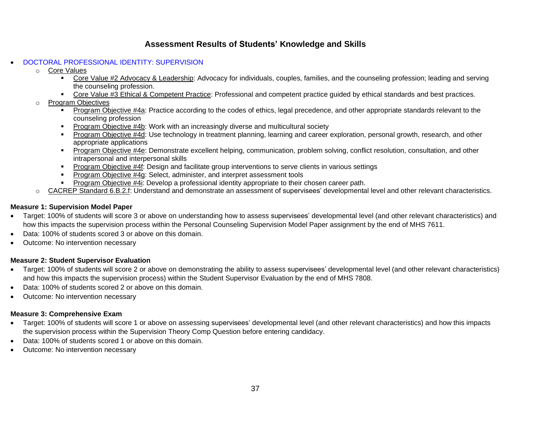# • DOCTORAL PROFESSIONAL IDENTITY: SUPERVISION

- o Core Values
	- Core Value #2 Advocacy & Leadership: Advocacy for individuals, couples, families, and the counseling profession; leading and serving the counseling profession.
	- Core Value #3 Ethical & Competent Practice: Professional and competent practice guided by ethical standards and best practices.
- o Program Objectives
	- Program Objective #4a: Practice according to the codes of ethics, legal precedence, and other appropriate standards relevant to the counseling profession
	- Program Objective #4b: Work with an increasingly diverse and multicultural society
	- Program Objective #4d: Use technology in treatment planning, learning and career exploration, personal growth, research, and other appropriate applications
	- Program Objective #4e: Demonstrate excellent helping, communication, problem solving, conflict resolution, consultation, and other intrapersonal and interpersonal skills
	- Program Objective #4f: Design and facilitate group interventions to serve clients in various settings
	- **Program Objective #4g: Select, administer, and interpret assessment tools**
	- **Program Objective #4i: Develop a professional identity appropriate to their chosen career path.**
- o CACREP Standard 6.B.2.f: Understand and demonstrate an assessment of supervisees' developmental level and other relevant characteristics.

# **Measure 1: Supervision Model Paper**

- Target: 100% of students will score 3 or above on understanding how to assess supervisees' developmental level (and other relevant characteristics) and how this impacts the supervision process within the Personal Counseling Supervision Model Paper assignment by the end of MHS 7611.
- Data: 100% of students scored 3 or above on this domain.
- Outcome: No intervention necessary

# **Measure 2: Student Supervisor Evaluation**

- Target: 100% of students will score 2 or above on demonstrating the ability to assess supervisees' developmental level (and other relevant characteristics) and how this impacts the supervision process) within the Student Supervisor Evaluation by the end of MHS 7808.
- Data: 100% of students scored 2 or above on this domain.
- Outcome: No intervention necessary

# **Measure 3: Comprehensive Exam**

- Target: 100% of students will score 1 or above on assessing supervisees' developmental level (and other relevant characteristics) and how this impacts the supervision process within the Supervision Theory Comp Question before entering candidacy.
- Data: 100% of students scored 1 or above on this domain.
- Outcome: No intervention necessary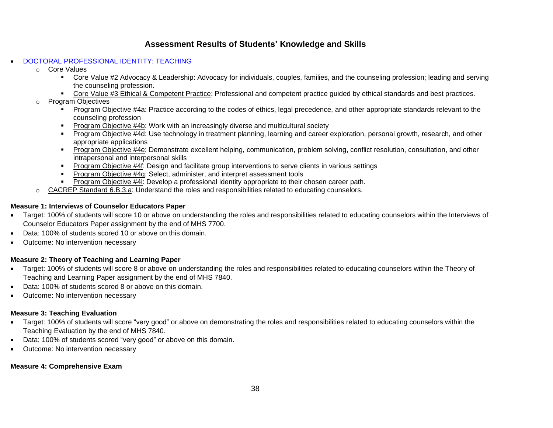### • DOCTORAL PROFESSIONAL IDENTITY: TEACHING

- o Core Values
	- **EXECT ADDER 10 Advocacy & Leadership:** Advocacy for individuals, couples, families, and the counseling profession; leading and serving the counseling profession.
	- Core Value #3 Ethical & Competent Practice: Professional and competent practice guided by ethical standards and best practices.
- o Program Objectives
	- **Program Objective #4a: Practice according to the codes of ethics, legal precedence, and other appropriate standards relevant to the** counseling profession
	- Program Objective #4b: Work with an increasingly diverse and multicultural society
	- Program Objective #4d: Use technology in treatment planning, learning and career exploration, personal growth, research, and other appropriate applications
	- Program Objective #4e: Demonstrate excellent helping, communication, problem solving, conflict resolution, consultation, and other intrapersonal and interpersonal skills
	- Program Objective #4f: Design and facilitate group interventions to serve clients in various settings
	- **Program Objective #4g: Select, administer, and interpret assessment tools**
	- **Program Objective #4i: Develop a professional identity appropriate to their chosen career path.**
	- CACREP Standard 6.B.3.a: Understand the roles and responsibilities related to educating counselors.

# **Measure 1: Interviews of Counselor Educators Paper**

- Target: 100% of students will score 10 or above on understanding the roles and responsibilities related to educating counselors within the Interviews of Counselor Educators Paper assignment by the end of MHS 7700.
- Data: 100% of students scored 10 or above on this domain.
- Outcome: No intervention necessary

# **Measure 2: Theory of Teaching and Learning Paper**

- Target: 100% of students will score 8 or above on understanding the roles and responsibilities related to educating counselors within the Theory of Teaching and Learning Paper assignment by the end of MHS 7840.
- Data: 100% of students scored 8 or above on this domain.
- Outcome: No intervention necessary

# **Measure 3: Teaching Evaluation**

- Target: 100% of students will score "very good" or above on demonstrating the roles and responsibilities related to educating counselors within the Teaching Evaluation by the end of MHS 7840.
- Data: 100% of students scored "very good" or above on this domain.
- Outcome: No intervention necessary

### **Measure 4: Comprehensive Exam**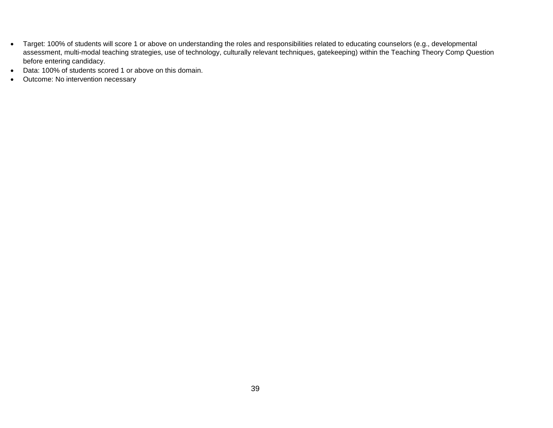- Target: 100% of students will score 1 or above on understanding the roles and responsibilities related to educating counselors (e.g., developmental assessment, multi-modal teaching strategies, use of technology, culturally relevant techniques, gatekeeping) within the Teaching Theory Comp Question before entering candidacy.
- Data: 100% of students scored 1 or above on this domain.
- Outcome: No intervention necessary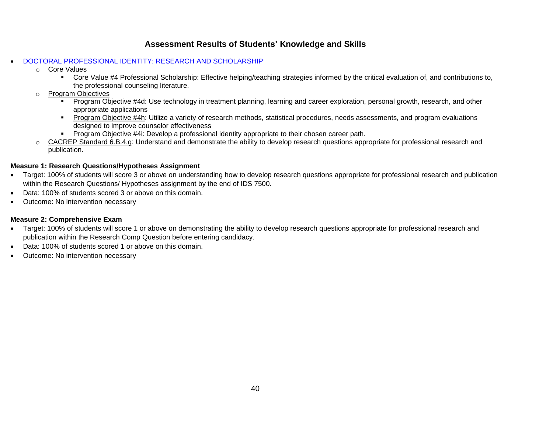# • DOCTORAL PROFESSIONAL IDENTITY: RESEARCH AND SCHOLARSHIP

- o Core Values
	- **EXECT A PROFER 1** Professional Scholarship: Effective helping/teaching strategies informed by the critical evaluation of, and contributions to, the professional counseling literature.
- **Program Objectives** 
	- Program Objective #4d: Use technology in treatment planning, learning and career exploration, personal growth, research, and other appropriate applications
	- Program Objective #4h: Utilize a variety of research methods, statistical procedures, needs assessments, and program evaluations designed to improve counselor effectiveness
	- **Program Objective #4i: Develop a professional identity appropriate to their chosen career path.**
- CACREP Standard 6.B.4.g: Understand and demonstrate the ability to develop research questions appropriate for professional research and publication.

# **Measure 1: Research Questions/Hypotheses Assignment**

- Target: 100% of students will score 3 or above on understanding how to develop research questions appropriate for professional research and publication within the Research Questions/ Hypotheses assignment by the end of IDS 7500.
- Data: 100% of students scored 3 or above on this domain.
- Outcome: No intervention necessary

# **Measure 2: Comprehensive Exam**

- Target: 100% of students will score 1 or above on demonstrating the ability to develop research questions appropriate for professional research and publication within the Research Comp Question before entering candidacy.
- Data: 100% of students scored 1 or above on this domain.
- Outcome: No intervention necessary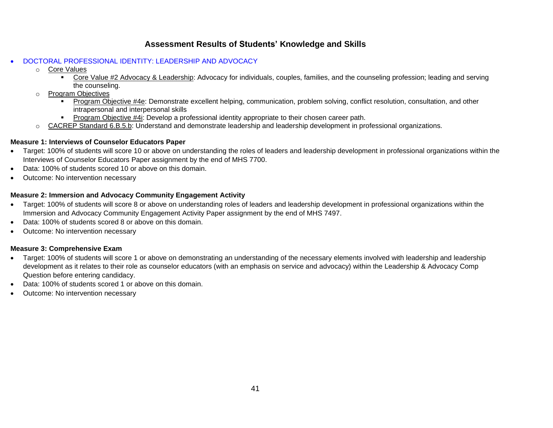# • DOCTORAL PROFESSIONAL IDENTITY: LEADERSHIP AND ADVOCACY

- o Core Values
	- **EXECT ADDER 10 Advocacy & Leadership:** Advocacy for individuals, couples, families, and the counseling profession; leading and serving the counseling.
- **Program Objectives** 
	- Program Objective #4e: Demonstrate excellent helping, communication, problem solving, conflict resolution, consultation, and other intrapersonal and interpersonal skills
	- **Program Objective #4i: Develop a professional identity appropriate to their chosen career path.**
- CACREP Standard 6.B.5.b: Understand and demonstrate leadership and leadership development in professional organizations.

### **Measure 1: Interviews of Counselor Educators Paper**

- Target: 100% of students will score 10 or above on understanding the roles of leaders and leadership development in professional organizations within the Interviews of Counselor Educators Paper assignment by the end of MHS 7700.
- Data: 100% of students scored 10 or above on this domain.
- Outcome: No intervention necessary

# **Measure 2: Immersion and Advocacy Community Engagement Activity**

- Target: 100% of students will score 8 or above on understanding roles of leaders and leadership development in professional organizations within the Immersion and Advocacy Community Engagement Activity Paper assignment by the end of MHS 7497.
- Data: 100% of students scored 8 or above on this domain.
- Outcome: No intervention necessary

# **Measure 3: Comprehensive Exam**

- Target: 100% of students will score 1 or above on demonstrating an understanding of the necessary elements involved with leadership and leadership development as it relates to their role as counselor educators (with an emphasis on service and advocacy) within the Leadership & Advocacy Comp Question before entering candidacy.
- Data: 100% of students scored 1 or above on this domain.
- Outcome: No intervention necessary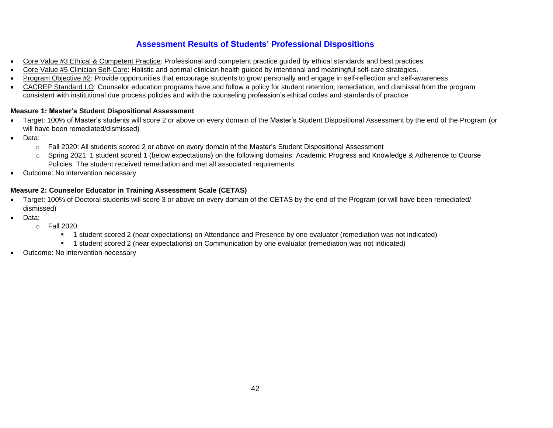# **Assessment Results of Students' Professional Dispositions**

- Core Value #3 Ethical & Competent Practice: Professional and competent practice guided by ethical standards and best practices.
- Core Value #5 Clinician Self-Care: Holistic and optimal clinician health guided by intentional and meaningful self-care strategies.
- Program Objective #2: Provide opportunities that encourage students to grow personally and engage in self-reflection and self-awareness
- CACREP Standard I.O: Counselor education programs have and follow a policy for student retention, remediation, and dismissal from the program consistent with institutional due process policies and with the counseling profession's ethical codes and standards of practice

# **Measure 1: Master's Student Dispositional Assessment**

- Target: 100% of Master's students will score 2 or above on every domain of the Master's Student Dispositional Assessment by the end of the Program (or will have been remediated/dismissed)
- Data:
	- o Fall 2020: All students scored 2 or above on every domain of the Master's Student Dispositional Assessment
	- o Spring 2021: 1 student scored 1 (below expectations) on the following domains: Academic Progress and Knowledge & Adherence to Course Policies. The student received remediation and met all associated requirements.
- Outcome: No intervention necessary

# **Measure 2: Counselor Educator in Training Assessment Scale (CETAS)**

- Target: 100% of Doctoral students will score 3 or above on every domain of the CETAS by the end of the Program (or will have been remediated/ dismissed)
- Data:
	- o Fall 2020:
		- 1 student scored 2 (near expectations) on Attendance and Presence by one evaluator (remediation was not indicated)
		- 1 student scored 2 (near expectations) on Communication by one evaluator (remediation was not indicated)
- Outcome: No intervention necessary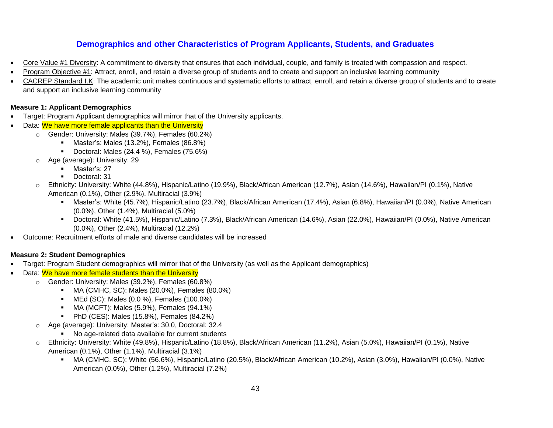# **Demographics and other Characteristics of Program Applicants, Students, and Graduates**

- Core Value #1 Diversity: A commitment to diversity that ensures that each individual, couple, and family is treated with compassion and respect.
- Program Objective #1: Attract, enroll, and retain a diverse group of students and to create and support an inclusive learning community
- CACREP Standard I.K: The academic unit makes continuous and systematic efforts to attract, enroll, and retain a diverse group of students and to create and support an inclusive learning community

# **Measure 1: Applicant Demographics**

- Target: Program Applicant demographics will mirror that of the University applicants.
- Data: We have more female applicants than the University
	- o Gender: University: Males (39.7%), Females (60.2%)
		- Master's: Males (13.2%), Females (86.8%)
		- Doctoral: Males (24.4 %), Females (75.6%)
	- o Age (average): University: 29
		- Master's: 27
		- Doctoral: 31
	- o Ethnicity: University: White (44.8%), Hispanic/Latino (19.9%), Black/African American (12.7%), Asian (14.6%), Hawaiian/PI (0.1%), Native American (0.1%), Other (2.9%), Multiracial (3.9%)
		- Master's: White (45.7%), Hispanic/Latino (23.7%), Black/African American (17.4%), Asian (6.8%), Hawaiian/PI (0.0%), Native American (0.0%), Other (1.4%), Multiracial (5.0%)
		- Doctoral: White (41.5%), Hispanic/Latino (7.3%), Black/African American (14.6%), Asian (22.0%), Hawaiian/PI (0.0%), Native American (0.0%), Other (2.4%), Multiracial (12.2%)
- Outcome: Recruitment efforts of male and diverse candidates will be increased

# **Measure 2: Student Demographics**

- Target: Program Student demographics will mirror that of the University (as well as the Applicant demographics)
- Data: We have more female students than the University
	- o Gender: University: Males (39.2%), Females (60.8%)
		- MA (CMHC, SC): Males (20.0%), Females (80.0%)
		- MEd (SC): Males (0.0 %), Females (100.0%)
		- MA (MCFT): Males (5.9%), Females (94.1%)
		- PhD (CES): Males (15.8%), Females (84.2%)
	- o Age (average): University: Master's: 30.0, Doctoral: 32.4
		- No age-related data available for current students
	- o Ethnicity: University: White (49.8%), Hispanic/Latino (18.8%), Black/African American (11.2%), Asian (5.0%), Hawaiian/PI (0.1%), Native American (0.1%), Other (1.1%), Multiracial (3.1%)
		- MA (CMHC, SC): White (56.6%), Hispanic/Latino (20.5%), Black/African American (10.2%), Asian (3.0%), Hawaiian/PI (0.0%), Native American (0.0%), Other (1.2%), Multiracial (7.2%)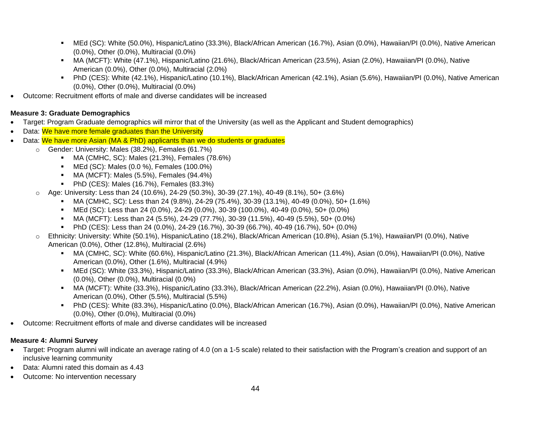- MEd (SC): White (50.0%), Hispanic/Latino (33.3%), Black/African American (16.7%), Asian (0.0%), Hawaiian/PI (0.0%), Native American (0.0%), Other (0.0%), Multiracial (0.0%)
- MA (MCFT): White (47.1%), Hispanic/Latino (21.6%), Black/African American (23.5%), Asian (2.0%), Hawaiian/PI (0.0%), Native American (0.0%), Other (0.0%), Multiracial (2.0%)
- PhD (CES): White (42.1%), Hispanic/Latino (10.1%), Black/African American (42.1%), Asian (5.6%), Hawaiian/PI (0.0%), Native American (0.0%), Other (0.0%), Multiracial (0.0%)
- Outcome: Recruitment efforts of male and diverse candidates will be increased

# **Measure 3: Graduate Demographics**

- Target: Program Graduate demographics will mirror that of the University (as well as the Applicant and Student demographics)
- Data: We have more female graduates than the University
- Data: We have more Asian (MA & PhD) applicants than we do students or graduates
	- o Gender: University: Males (38.2%), Females (61.7%)
		- MA (CMHC, SC): Males (21.3%), Females (78.6%)
		- MEd (SC): Males (0.0 %), Females (100.0%)
		- MA (MCFT): Males (5.5%), Females (94.4%)
		- PhD (CES): Males (16.7%), Females (83.3%)
	- o Age: University: Less than 24 (10.6%), 24-29 (50.3%), 30-39 (27.1%), 40-49 (8.1%), 50+ (3.6%)
		- MA (CMHC, SC): Less than 24 (9.8%), 24-29 (75.4%), 30-39 (13.1%), 40-49 (0.0%), 50+ (1.6%)
		- MEd (SC): Less than 24 (0.0%), 24-29 (0.0%), 30-39 (100.0%), 40-49 (0.0%), 50+ (0.0%)
		- MA (MCFT): Less than 24 (5.5%), 24-29 (77.7%), 30-39 (11.5%), 40-49 (5.5%), 50+ (0.0%)
		- PhD (CES): Less than 24 (0.0%), 24-29 (16.7%), 30-39 (66.7%), 40-49 (16.7%), 50+ (0.0%)
	- o Ethnicity: University: White (50.1%), Hispanic/Latino (18.2%), Black/African American (10.8%), Asian (5.1%), Hawaiian/PI (0.0%), Native American (0.0%), Other (12.8%), Multiracial (2.6%)
		- MA (CMHC, SC): White (60.6%), Hispanic/Latino (21.3%), Black/African American (11.4%), Asian (0.0%), Hawaiian/PI (0.0%), Native American (0.0%), Other (1.6%), Multiracial (4.9%)
		- MEd (SC): White (33.3%), Hispanic/Latino (33.3%), Black/African American (33.3%), Asian (0.0%), Hawaiian/PI (0.0%), Native American (0.0%), Other (0.0%), Multiracial (0.0%)
		- MA (MCFT): White (33.3%), Hispanic/Latino (33.3%), Black/African American (22.2%), Asian (0.0%), Hawaiian/PI (0.0%), Native American (0.0%), Other (5.5%), Multiracial (5.5%)
		- PhD (CES): White (83.3%), Hispanic/Latino (0.0%), Black/African American (16.7%), Asian (0.0%), Hawaiian/PI (0.0%), Native American (0.0%), Other (0.0%), Multiracial (0.0%)
- Outcome: Recruitment efforts of male and diverse candidates will be increased

# **Measure 4: Alumni Survey**

- Target: Program alumni will indicate an average rating of 4.0 (on a 1-5 scale) related to their satisfaction with the Program's creation and support of an inclusive learning community
- Data: Alumni rated this domain as 4.43
- Outcome: No intervention necessary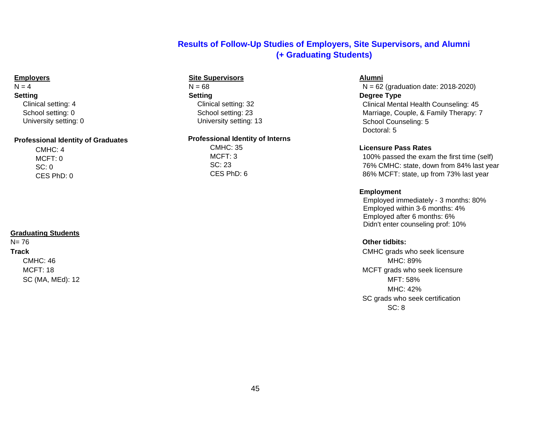# **Results of Follow-Up Studies of Employers, Site Supervisors, and Alumni (+ Graduating Students)**

### **Employers**

# $N = 4$

### **Setting**

Clinical setting: 4 School setting: 0 University setting: 0

### **Professional Identity of Graduates**

CMHC: 4 MCFT: 0 SC: 0 CES PhD: 0

# **Graduating Students**

# N= 76 **Other tidbits:**

### **Site Supervisors**

 $N = 68$ **Setting** Clinical setting: 32 School setting: 23 University setting: 13

### **Professional Identity of Interns**

CMHC: 35 MCFT: 3 SC: 23 CES PhD: 6

# **Alumni**

N = 62 (graduation date: 2018‐2020) **Degree Type** Clinical Mental Health Counseling: 45 Marriage, Couple, & Family Therapy: 7

School Counseling: 5 Doctoral: 5

### **Licensure Pass Rates**

100% passed the exam the first time (self) 76% CMHC: state, down from 84% last year 86% MCFT: state, up from 73% last year

### **Employment**

Employed immediately ‐ 3 months: 80% Employed within 3‐6 months: 4% Employed after 6 months: 6% Didn't enter counseling prof: 10%

**Track** CMHC grads who seek licensure CMHC: 46 MHC: 89% MCFT: 18 MCFT: 18 MCFT: 18 MCFT: 18 MCFT: 18 MCFT: 18 MCFT: 18 MCFT: 18 MCFT: 18 MCFT: 18 MCFT: 18 MCFT: 18 MCFT: 18 MCFT: 18 MCFT: 18 MCFT: 18 MCFT: 18 MCFT: 18 MCFT: 18 MCFT: 18 MCFT: 18 MCFT: 18 MCFT: 18 MM SC (MA, MEd): 12 MFT: 58% MHC: 42% SC grads who seek certification SC: 8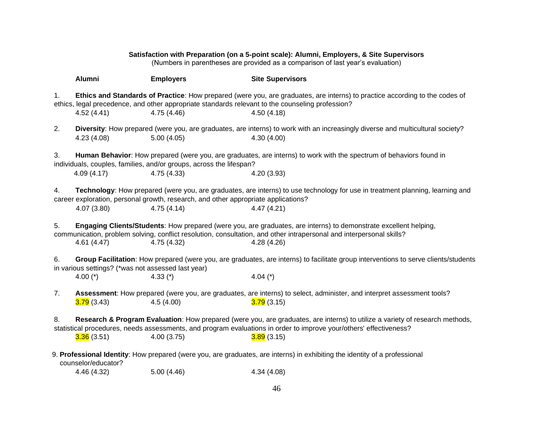### **Satisfaction with Preparation (on a 5**‐**point scale): Alumni, Employers, & Site Supervisors**

(Numbers in parentheses are provided as a comparison of last year's evaluation)

|    | <b>Alumni</b>                                      | <b>Employers</b>                                                                   | <b>Site Supervisors</b>                                                                                                                                                                                                                                 |
|----|----------------------------------------------------|------------------------------------------------------------------------------------|---------------------------------------------------------------------------------------------------------------------------------------------------------------------------------------------------------------------------------------------------------|
| 1. | 4.52(4.41)                                         | 4.75(4.46)                                                                         | Ethics and Standards of Practice: How prepared (were you, are graduates, are interns) to practice according to the codes of<br>ethics, legal precedence, and other appropriate standards relevant to the counseling profession?<br>4.50(4.18)           |
| 2. | 4.23(4.08)                                         | 5.00(4.05)                                                                         | Diversity: How prepared (were you, are graduates, are interns) to work with an increasingly diverse and multicultural society?<br>4.30(4.00)                                                                                                            |
| 3. |                                                    | individuals, couples, families, and/or groups, across the lifespan?                | Human Behavior: How prepared (were you, are graduates, are interns) to work with the spectrum of behaviors found in                                                                                                                                     |
|    | 4.09(4.17)                                         | 4.75 (4.33)                                                                        | 4.20 (3.93)                                                                                                                                                                                                                                             |
| 4. |                                                    | career exploration, personal growth, research, and other appropriate applications? | Technology: How prepared (were you, are graduates, are interns) to use technology for use in treatment planning, learning and                                                                                                                           |
|    | 4.07(3.80)                                         | 4.75(4.14)                                                                         | 4.47(4.21)                                                                                                                                                                                                                                              |
| 5. | 4.61(4.47)                                         | 4.75 (4.32)                                                                        | Engaging Clients/Students: How prepared (were you, are graduates, are interns) to demonstrate excellent helping,<br>communication, problem solving, conflict resolution, consultation, and other intrapersonal and interpersonal skills?<br>4.28 (4.26) |
| 6. | in various settings? (*was not assessed last year) |                                                                                    | Group Facilitation: How prepared (were you, are graduates, are interns) to facilitate group interventions to serve clients/students                                                                                                                     |
|    | 4.00 $(*)$                                         | 4.33 $(*)$                                                                         | 4.04 $(*)$                                                                                                                                                                                                                                              |
| 7. | <mark>3.79</mark> (3.43)                           | 4.5(4.00)                                                                          | Assessment: How prepared (were you, are graduates, are interns) to select, administer, and interpret assessment tools?<br>3.79(3.15)                                                                                                                    |
| 8. |                                                    |                                                                                    | Research & Program Evaluation: How prepared (were you, are graduates, are interns) to utilize a variety of research methods,<br>statistical procedures, needs assessments, and program evaluations in order to improve your/others' effectiveness?      |
|    | 3.36(3.51)                                         | 4.00(3.75)                                                                         | 3.89(3.15)                                                                                                                                                                                                                                              |
|    | counselor/educator?                                |                                                                                    | 9. Professional Identity: How prepared (were you, are graduates, are interns) in exhibiting the identity of a professional                                                                                                                              |
|    | 4.46 (4.32)                                        | 5.00(4.46)                                                                         | 4.34 (4.08)                                                                                                                                                                                                                                             |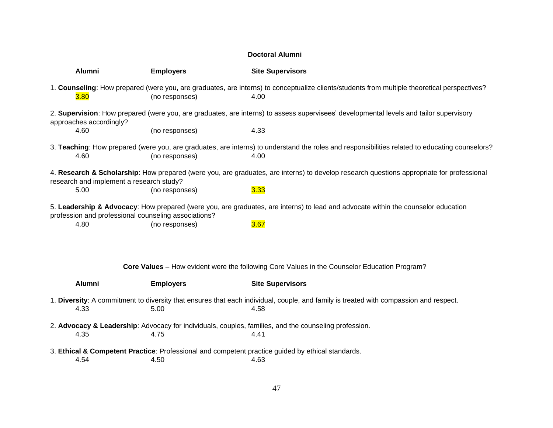# **Doctoral Alumni**

| <b>Alumni</b>                                        | <b>Employers</b> | <b>Site Supervisors</b>                                                                                                                                |
|------------------------------------------------------|------------------|--------------------------------------------------------------------------------------------------------------------------------------------------------|
| 3.80                                                 | (no responses)   | 1. Counseling: How prepared (were you, are graduates, are interns) to conceptualize clients/students from multiple theoretical perspectives?<br>4.00   |
| approaches accordingly?                              |                  | 2. Supervision: How prepared (were you, are graduates, are interns) to assess supervisees' developmental levels and tailor supervisory                 |
| 4.60                                                 | (no responses)   | 4.33                                                                                                                                                   |
| 4.60                                                 | (no responses)   | 3. Teaching: How prepared (were you, are graduates, are interns) to understand the roles and responsibilities related to educating counselors?<br>4.00 |
| research and implement a research study?             |                  | 4. Research & Scholarship: How prepared (were you, are graduates, are interns) to develop research questions appropriate for professional              |
| 5.00                                                 | (no responses)   | 3.33                                                                                                                                                   |
| profession and professional counseling associations? |                  | 5. Leadership & Advocacy: How prepared (were you, are graduates, are interns) to lead and advocate within the counselor education                      |
| 4.80                                                 | (no responses)   | 3.67                                                                                                                                                   |
|                                                      |                  |                                                                                                                                                        |
|                                                      |                  | <b>Core Values</b> - How evident were the following Core Values in the Counselor Education Program?                                                    |
| <b>Alumni</b>                                        | <b>Employers</b> | <b>Site Supervisors</b>                                                                                                                                |
| 4.33                                                 | 5.00             | 1. Diversity: A commitment to diversity that ensures that each individual, couple, and family is treated with compassion and respect.<br>4.58          |
|                                                      |                  | 2. Advocacy & Leadership: Advocacy for individuals, couples, families, and the counseling profession.                                                  |
| 4.35                                                 | 4.75             | 4.41                                                                                                                                                   |
|                                                      |                  | 3. Ethical & Competent Practice: Professional and competent practice guided by ethical standards.                                                      |
| 4.54                                                 | 4.50             | 4.63                                                                                                                                                   |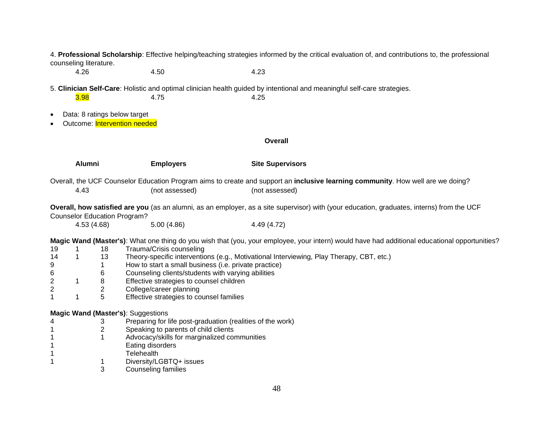4. **Professional Scholarship**: Effective helping/teaching strategies informed by the critical evaluation of, and contributions to, the professional counseling literature.

4.26 4.50 4.23

5. **Clinician Self-Care**: Holistic and optimal clinician health guided by intentional and meaningful self-care strategies. **3.98** 4.75 4.25

- Data: 8 ratings below target
- Outcome: Intervention needed

**Overall**

|                              | Alumni |                                           | <b>Employers</b>                                                                                                                                                                                                                                           | <b>Site Supervisors</b>                                                                                                                                                                                                                   |
|------------------------------|--------|-------------------------------------------|------------------------------------------------------------------------------------------------------------------------------------------------------------------------------------------------------------------------------------------------------------|-------------------------------------------------------------------------------------------------------------------------------------------------------------------------------------------------------------------------------------------|
|                              | 4.43   |                                           | (not assessed)                                                                                                                                                                                                                                             | Overall, the UCF Counselor Education Program aims to create and support an inclusive learning community. How well are we doing?<br>(not assessed)                                                                                         |
|                              |        |                                           | <b>Counselor Education Program?</b>                                                                                                                                                                                                                        | Overall, how satisfied are you (as an alumni, as an employer, as a site supervisor) with (your education, graduates, interns) from the UCF                                                                                                |
|                              |        | 4.53 (4.68)                               | 5.00(4.86)                                                                                                                                                                                                                                                 | 4.49 (4.72)                                                                                                                                                                                                                               |
| 19<br>14<br>9<br>6<br>2<br>2 | 1      | 18<br>13<br>6<br>8<br>$\overline{c}$<br>5 | Trauma/Crisis counseling<br>How to start a small business (i.e. private practice)<br>Counseling clients/students with varying abilities<br>Effective strategies to counsel children<br>College/career planning<br>Effective strategies to counsel families | Magic Wand (Master's): What one thing do you wish that (you, your employee, your intern) would have had additional educational opportunities?<br>Theory-specific interventions (e.g., Motivational Interviewing, Play Therapy, CBT, etc.) |
|                              |        |                                           | Magic Wand (Master's): Suggestions                                                                                                                                                                                                                         |                                                                                                                                                                                                                                           |
|                              |        | 3                                         | Preparing for life post-graduation (realities of the work)                                                                                                                                                                                                 |                                                                                                                                                                                                                                           |
|                              |        | 2                                         | Speaking to parents of child clients                                                                                                                                                                                                                       |                                                                                                                                                                                                                                           |
|                              |        |                                           | Advocacy/skills for marginalized communities<br>Eating disorders                                                                                                                                                                                           |                                                                                                                                                                                                                                           |
|                              |        |                                           | <b>Telehealth</b>                                                                                                                                                                                                                                          |                                                                                                                                                                                                                                           |
|                              |        |                                           | Diversity/LGBTQ+ issues                                                                                                                                                                                                                                    |                                                                                                                                                                                                                                           |
|                              |        | 3                                         | Counseling families                                                                                                                                                                                                                                        |                                                                                                                                                                                                                                           |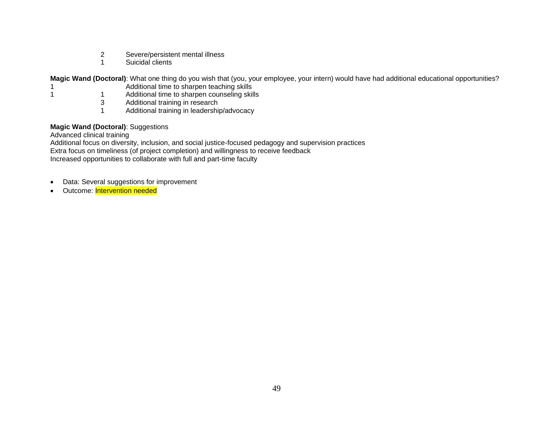- 2 Severe/persistent mental illness<br>1 Suicidal clients
- Suicidal clients

**Magic Wand (Doctoral)**: What one thing do you wish that (you, your employee, your intern) would have had additional educational opportunities?

- 1 **Additional time to sharpen teaching skills**
- 1 1 1 Additional time to sharpen counseling skills
	- 3 Additional training in research<br>1 Additional training in leadership
		- Additional training in leadership/advocacy

# **Magic Wand (Doctoral)**: Suggestions

Advanced clinical training

Additional focus on diversity, inclusion, and social justice-focused pedagogy and supervision practices Extra focus on timeliness (of project completion) and willingness to receive feedback Increased opportunities to collaborate with full and part-time faculty

- Data: Several suggestions for improvement
- Outcome: Intervention needed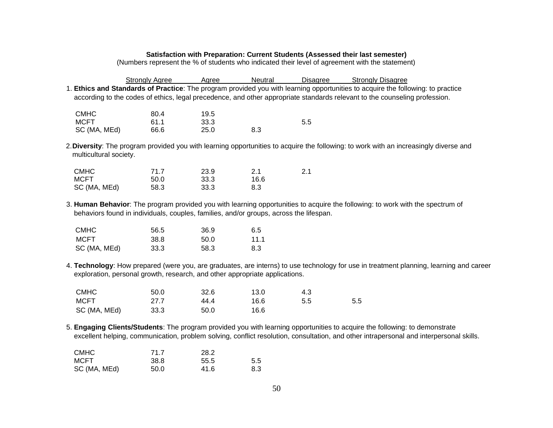### **Satisfaction with Preparation: Current Students (Assessed their last semester)**

(Numbers represent the % of students who indicated their level of agreement with the statement)

|                                                                                                                            | <b>Stronaly Agree</b>                                                                  | Aaree | Neutral | <b>Disagree</b> | <b>Strongly Disagree</b>                                                                                                                |  |
|----------------------------------------------------------------------------------------------------------------------------|----------------------------------------------------------------------------------------|-------|---------|-----------------|-----------------------------------------------------------------------------------------------------------------------------------------|--|
|                                                                                                                            |                                                                                        |       |         |                 | 1. Ethics and Standards of Practice: The program provided you with learning opportunities to acquire the following: to practice         |  |
| according to the codes of ethics, legal precedence, and other appropriate standards relevant to the counseling profession. |                                                                                        |       |         |                 |                                                                                                                                         |  |
|                                                                                                                            |                                                                                        |       |         |                 |                                                                                                                                         |  |
| <b>CMHC</b>                                                                                                                | 80.4                                                                                   | 19.5  |         |                 |                                                                                                                                         |  |
| <b>MCFT</b>                                                                                                                | 61.1                                                                                   | 33.3  |         | 5.5             |                                                                                                                                         |  |
| SC (MA, MEd)                                                                                                               | 66.6                                                                                   | 25.0  | 8.3     |                 |                                                                                                                                         |  |
|                                                                                                                            |                                                                                        |       |         |                 | 2. Diversity: The program provided you with learning opportunities to acquire the following: to work with an increasingly diverse and   |  |
| multicultural society.                                                                                                     |                                                                                        |       |         |                 |                                                                                                                                         |  |
|                                                                                                                            |                                                                                        |       |         |                 |                                                                                                                                         |  |
| <b>CMHC</b>                                                                                                                | 71.7                                                                                   | 23.9  | 2.1     | 2.1             |                                                                                                                                         |  |
| <b>MCFT</b>                                                                                                                | 50.0                                                                                   | 33.3  | 16.6    |                 |                                                                                                                                         |  |
| SC (MA, MEd)                                                                                                               | 58.3                                                                                   | 33.3  | 8.3     |                 |                                                                                                                                         |  |
|                                                                                                                            |                                                                                        |       |         |                 | 3. Human Behavior: The program provided you with learning opportunities to acquire the following: to work with the spectrum of          |  |
|                                                                                                                            | behaviors found in individuals, couples, families, and/or groups, across the lifespan. |       |         |                 |                                                                                                                                         |  |
|                                                                                                                            |                                                                                        |       |         |                 |                                                                                                                                         |  |
| <b>CMHC</b>                                                                                                                | 56.5                                                                                   | 36.9  | 6.5     |                 |                                                                                                                                         |  |
| <b>MCFT</b>                                                                                                                | 38.8                                                                                   | 50.0  | 11.1    |                 |                                                                                                                                         |  |
| SC (MA, MEd)                                                                                                               | 33.3                                                                                   | 58.3  | 8.3     |                 |                                                                                                                                         |  |
|                                                                                                                            |                                                                                        |       |         |                 |                                                                                                                                         |  |
|                                                                                                                            | exploration, personal growth, research, and other appropriate applications.            |       |         |                 | 4. Technology: How prepared (were you, are graduates, are interns) to use technology for use in treatment planning, learning and career |  |
|                                                                                                                            |                                                                                        |       |         |                 |                                                                                                                                         |  |
| <b>CMHC</b>                                                                                                                | 50.0                                                                                   | 32.6  | 13.0    | 4.3             |                                                                                                                                         |  |
| <b>MCFT</b>                                                                                                                | 27.7                                                                                   | 44.4  | 16.6    | 5.5             | 5.5                                                                                                                                     |  |
|                                                                                                                            | 33.3                                                                                   |       | 16.6    |                 |                                                                                                                                         |  |
| SC (MA, MEd)                                                                                                               |                                                                                        | 50.0  |         |                 |                                                                                                                                         |  |
|                                                                                                                            |                                                                                        |       |         |                 | 5. Engaging Clients/Students: The program provided you with learning opportunities to acquire the following: to demonstrate             |  |
|                                                                                                                            |                                                                                        |       |         |                 | excellent helping, communication, problem solving, conflict resolution, consultation, and other intrapersonal and interpersonal skills. |  |
|                                                                                                                            |                                                                                        |       |         |                 |                                                                                                                                         |  |

| <b>CMHC</b>  | 71 7 | 28.2 |     |
|--------------|------|------|-----|
| <b>MCFT</b>  | 38.8 | 55.5 | 5.5 |
| SC (MA, MEd) | 50.0 | 41.6 | 8.3 |